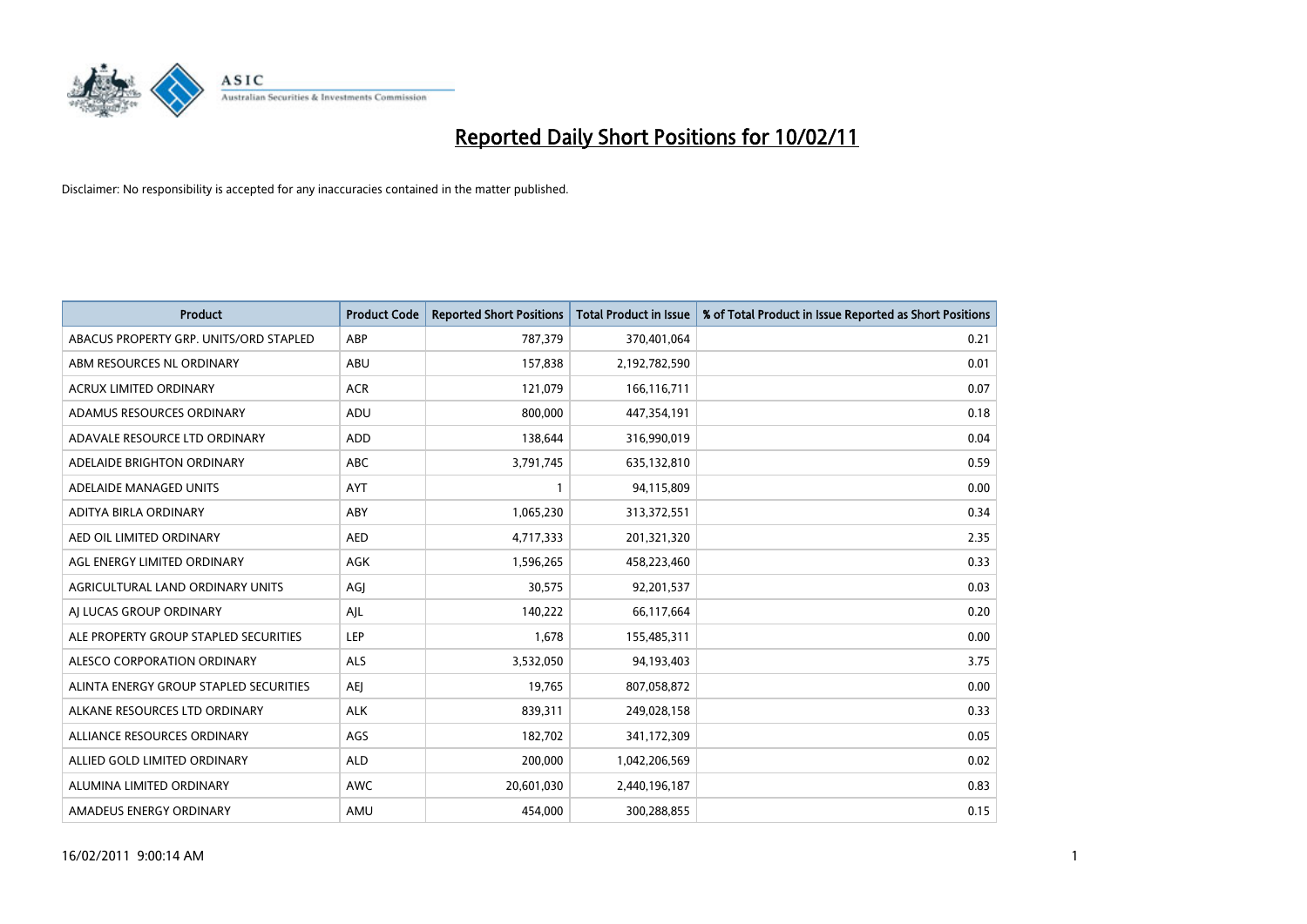

| Product                                | <b>Product Code</b> | <b>Reported Short Positions</b> | <b>Total Product in Issue</b> | % of Total Product in Issue Reported as Short Positions |
|----------------------------------------|---------------------|---------------------------------|-------------------------------|---------------------------------------------------------|
| ABACUS PROPERTY GRP. UNITS/ORD STAPLED | ABP                 | 787,379                         | 370,401,064                   | 0.21                                                    |
| ABM RESOURCES NL ORDINARY              | ABU                 | 157,838                         | 2,192,782,590                 | 0.01                                                    |
| ACRUX LIMITED ORDINARY                 | <b>ACR</b>          | 121,079                         | 166,116,711                   | 0.07                                                    |
| ADAMUS RESOURCES ORDINARY              | ADU                 | 800,000                         | 447,354,191                   | 0.18                                                    |
| ADAVALE RESOURCE LTD ORDINARY          | <b>ADD</b>          | 138,644                         | 316,990,019                   | 0.04                                                    |
| ADELAIDE BRIGHTON ORDINARY             | <b>ABC</b>          | 3,791,745                       | 635,132,810                   | 0.59                                                    |
| ADELAIDE MANAGED UNITS                 | <b>AYT</b>          |                                 | 94,115,809                    | 0.00                                                    |
| ADITYA BIRLA ORDINARY                  | ABY                 | 1,065,230                       | 313,372,551                   | 0.34                                                    |
| AED OIL LIMITED ORDINARY               | <b>AED</b>          | 4,717,333                       | 201,321,320                   | 2.35                                                    |
| AGL ENERGY LIMITED ORDINARY            | AGK                 | 1,596,265                       | 458,223,460                   | 0.33                                                    |
| AGRICULTURAL LAND ORDINARY UNITS       | AGI                 | 30,575                          | 92,201,537                    | 0.03                                                    |
| AI LUCAS GROUP ORDINARY                | AJL                 | 140,222                         | 66,117,664                    | 0.20                                                    |
| ALE PROPERTY GROUP STAPLED SECURITIES  | LEP                 | 1,678                           | 155,485,311                   | 0.00                                                    |
| ALESCO CORPORATION ORDINARY            | <b>ALS</b>          | 3,532,050                       | 94,193,403                    | 3.75                                                    |
| ALINTA ENERGY GROUP STAPLED SECURITIES | <b>AEI</b>          | 19,765                          | 807,058,872                   | 0.00                                                    |
| ALKANE RESOURCES LTD ORDINARY          | <b>ALK</b>          | 839,311                         | 249,028,158                   | 0.33                                                    |
| ALLIANCE RESOURCES ORDINARY            | AGS                 | 182,702                         | 341,172,309                   | 0.05                                                    |
| ALLIED GOLD LIMITED ORDINARY           | <b>ALD</b>          | 200,000                         | 1,042,206,569                 | 0.02                                                    |
| ALUMINA LIMITED ORDINARY               | <b>AWC</b>          | 20,601,030                      | 2,440,196,187                 | 0.83                                                    |
| AMADEUS ENERGY ORDINARY                | AMU                 | 454.000                         | 300,288,855                   | 0.15                                                    |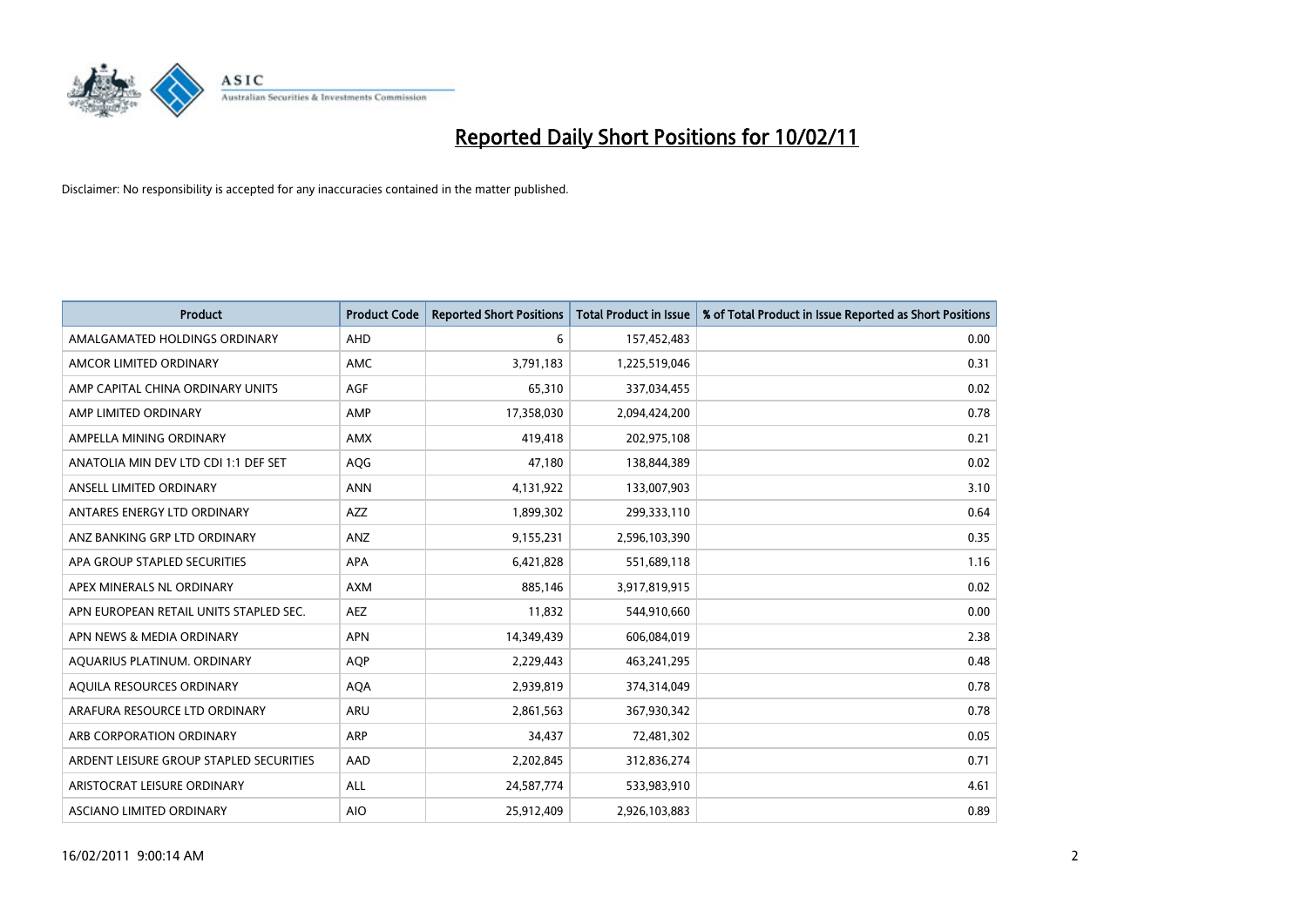

| <b>Product</b>                          | <b>Product Code</b> | <b>Reported Short Positions</b> | <b>Total Product in Issue</b> | % of Total Product in Issue Reported as Short Positions |
|-----------------------------------------|---------------------|---------------------------------|-------------------------------|---------------------------------------------------------|
| AMALGAMATED HOLDINGS ORDINARY           | <b>AHD</b>          | 6                               | 157,452,483                   | 0.00                                                    |
| AMCOR LIMITED ORDINARY                  | AMC                 | 3,791,183                       | 1,225,519,046                 | 0.31                                                    |
| AMP CAPITAL CHINA ORDINARY UNITS        | <b>AGF</b>          | 65,310                          | 337,034,455                   | 0.02                                                    |
| AMP LIMITED ORDINARY                    | AMP                 | 17,358,030                      | 2,094,424,200                 | 0.78                                                    |
| AMPELLA MINING ORDINARY                 | <b>AMX</b>          | 419,418                         | 202,975,108                   | 0.21                                                    |
| ANATOLIA MIN DEV LTD CDI 1:1 DEF SET    | AQG                 | 47,180                          | 138,844,389                   | 0.02                                                    |
| ANSELL LIMITED ORDINARY                 | <b>ANN</b>          | 4,131,922                       | 133,007,903                   | 3.10                                                    |
| ANTARES ENERGY LTD ORDINARY             | AZZ                 | 1,899,302                       | 299,333,110                   | 0.64                                                    |
| ANZ BANKING GRP LTD ORDINARY            | ANZ                 | 9,155,231                       | 2,596,103,390                 | 0.35                                                    |
| APA GROUP STAPLED SECURITIES            | <b>APA</b>          | 6,421,828                       | 551,689,118                   | 1.16                                                    |
| APEX MINERALS NL ORDINARY               | <b>AXM</b>          | 885,146                         | 3,917,819,915                 | 0.02                                                    |
| APN EUROPEAN RETAIL UNITS STAPLED SEC.  | <b>AEZ</b>          | 11,832                          | 544,910,660                   | 0.00                                                    |
| APN NEWS & MEDIA ORDINARY               | <b>APN</b>          | 14,349,439                      | 606,084,019                   | 2.38                                                    |
| AQUARIUS PLATINUM. ORDINARY             | <b>AOP</b>          | 2,229,443                       | 463,241,295                   | 0.48                                                    |
| AQUILA RESOURCES ORDINARY               | <b>AQA</b>          | 2,939,819                       | 374,314,049                   | 0.78                                                    |
| ARAFURA RESOURCE LTD ORDINARY           | ARU                 | 2,861,563                       | 367,930,342                   | 0.78                                                    |
| ARB CORPORATION ORDINARY                | ARP                 | 34,437                          | 72,481,302                    | 0.05                                                    |
| ARDENT LEISURE GROUP STAPLED SECURITIES | AAD                 | 2,202,845                       | 312,836,274                   | 0.71                                                    |
| ARISTOCRAT LEISURE ORDINARY             | <b>ALL</b>          | 24,587,774                      | 533,983,910                   | 4.61                                                    |
| ASCIANO LIMITED ORDINARY                | <b>AIO</b>          | 25,912,409                      | 2,926,103,883                 | 0.89                                                    |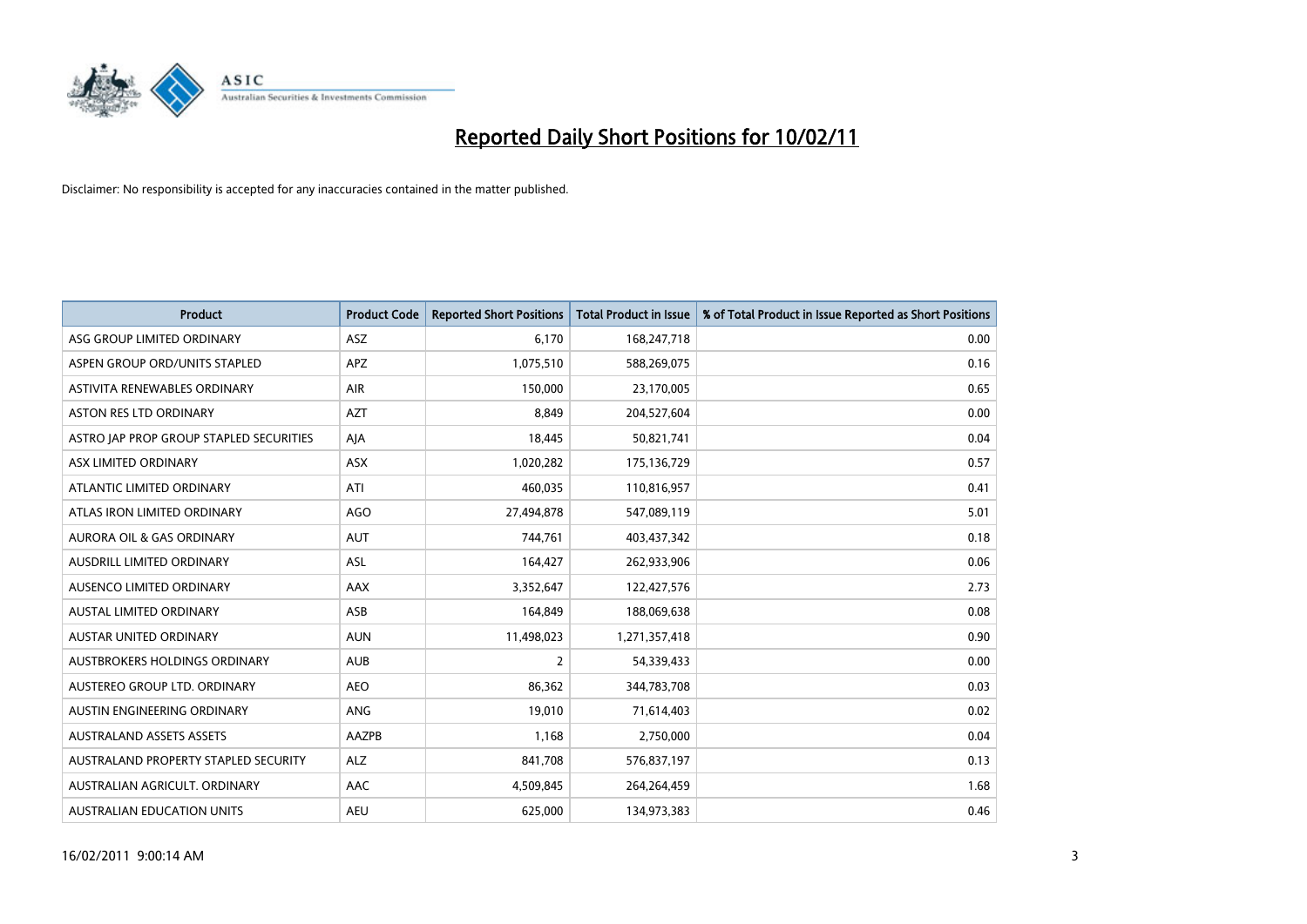

| Product                                 | <b>Product Code</b> | <b>Reported Short Positions</b> | Total Product in Issue | % of Total Product in Issue Reported as Short Positions |
|-----------------------------------------|---------------------|---------------------------------|------------------------|---------------------------------------------------------|
| ASG GROUP LIMITED ORDINARY              | ASZ                 | 6,170                           | 168,247,718            | 0.00                                                    |
| ASPEN GROUP ORD/UNITS STAPLED           | <b>APZ</b>          | 1,075,510                       | 588,269,075            | 0.16                                                    |
| ASTIVITA RENEWABLES ORDINARY            | <b>AIR</b>          | 150,000                         | 23,170,005             | 0.65                                                    |
| ASTON RES LTD ORDINARY                  | <b>AZT</b>          | 8,849                           | 204,527,604            | 0.00                                                    |
| ASTRO JAP PROP GROUP STAPLED SECURITIES | AJA                 | 18,445                          | 50,821,741             | 0.04                                                    |
| ASX LIMITED ORDINARY                    | <b>ASX</b>          | 1,020,282                       | 175,136,729            | 0.57                                                    |
| ATLANTIC LIMITED ORDINARY               | ATI                 | 460,035                         | 110,816,957            | 0.41                                                    |
| ATLAS IRON LIMITED ORDINARY             | AGO                 | 27,494,878                      | 547,089,119            | 5.01                                                    |
| AURORA OIL & GAS ORDINARY               | <b>AUT</b>          | 744,761                         | 403,437,342            | 0.18                                                    |
| AUSDRILL LIMITED ORDINARY               | ASL                 | 164,427                         | 262,933,906            | 0.06                                                    |
| AUSENCO LIMITED ORDINARY                | AAX                 | 3,352,647                       | 122,427,576            | 2.73                                                    |
| AUSTAL LIMITED ORDINARY                 | ASB                 | 164,849                         | 188,069,638            | 0.08                                                    |
| <b>AUSTAR UNITED ORDINARY</b>           | <b>AUN</b>          | 11,498,023                      | 1,271,357,418          | 0.90                                                    |
| AUSTBROKERS HOLDINGS ORDINARY           | <b>AUB</b>          | 2                               | 54,339,433             | 0.00                                                    |
| AUSTEREO GROUP LTD. ORDINARY            | <b>AEO</b>          | 86,362                          | 344,783,708            | 0.03                                                    |
| AUSTIN ENGINEERING ORDINARY             | ANG                 | 19,010                          | 71,614,403             | 0.02                                                    |
| <b>AUSTRALAND ASSETS ASSETS</b>         | AAZPB               | 1,168                           | 2,750,000              | 0.04                                                    |
| AUSTRALAND PROPERTY STAPLED SECURITY    | <b>ALZ</b>          | 841,708                         | 576,837,197            | 0.13                                                    |
| AUSTRALIAN AGRICULT, ORDINARY           | AAC                 | 4,509,845                       | 264,264,459            | 1.68                                                    |
| AUSTRALIAN EDUCATION UNITS              | <b>AEU</b>          | 625,000                         | 134,973,383            | 0.46                                                    |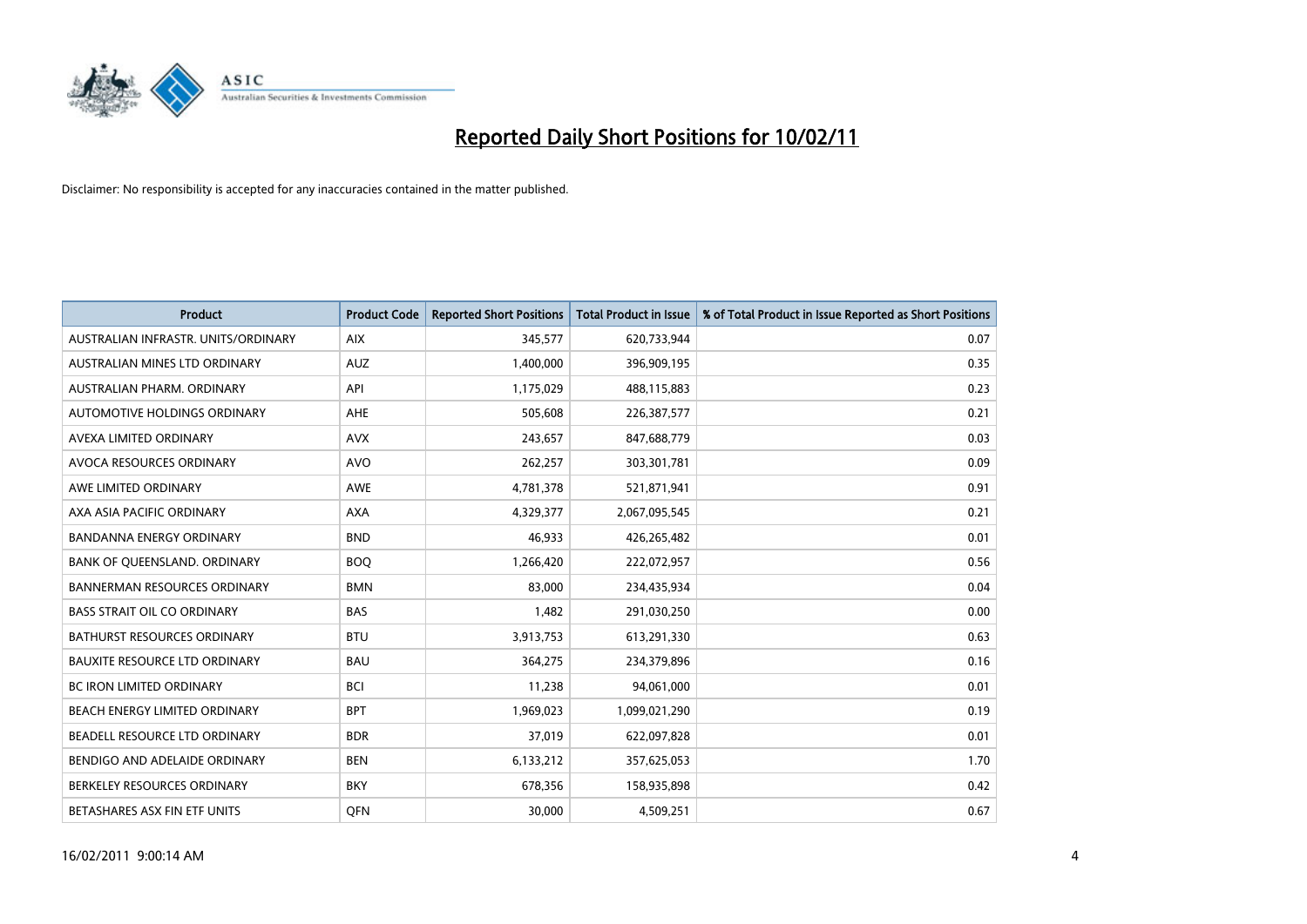

| <b>Product</b>                       | <b>Product Code</b> | <b>Reported Short Positions</b> | <b>Total Product in Issue</b> | % of Total Product in Issue Reported as Short Positions |
|--------------------------------------|---------------------|---------------------------------|-------------------------------|---------------------------------------------------------|
| AUSTRALIAN INFRASTR. UNITS/ORDINARY  | <b>AIX</b>          | 345,577                         | 620,733,944                   | 0.07                                                    |
| AUSTRALIAN MINES LTD ORDINARY        | <b>AUZ</b>          | 1,400,000                       | 396,909,195                   | 0.35                                                    |
| AUSTRALIAN PHARM, ORDINARY           | API                 | 1,175,029                       | 488,115,883                   | 0.23                                                    |
| AUTOMOTIVE HOLDINGS ORDINARY         | <b>AHE</b>          | 505,608                         | 226,387,577                   | 0.21                                                    |
| AVEXA LIMITED ORDINARY               | <b>AVX</b>          | 243,657                         | 847,688,779                   | 0.03                                                    |
| AVOCA RESOURCES ORDINARY             | <b>AVO</b>          | 262,257                         | 303,301,781                   | 0.09                                                    |
| AWE LIMITED ORDINARY                 | <b>AWE</b>          | 4,781,378                       | 521,871,941                   | 0.91                                                    |
| AXA ASIA PACIFIC ORDINARY            | <b>AXA</b>          | 4,329,377                       | 2,067,095,545                 | 0.21                                                    |
| <b>BANDANNA ENERGY ORDINARY</b>      | <b>BND</b>          | 46,933                          | 426,265,482                   | 0.01                                                    |
| BANK OF QUEENSLAND. ORDINARY         | <b>BOQ</b>          | 1,266,420                       | 222,072,957                   | 0.56                                                    |
| <b>BANNERMAN RESOURCES ORDINARY</b>  | <b>BMN</b>          | 83,000                          | 234,435,934                   | 0.04                                                    |
| <b>BASS STRAIT OIL CO ORDINARY</b>   | <b>BAS</b>          | 1,482                           | 291,030,250                   | 0.00                                                    |
| BATHURST RESOURCES ORDINARY          | <b>BTU</b>          | 3,913,753                       | 613,291,330                   | 0.63                                                    |
| <b>BAUXITE RESOURCE LTD ORDINARY</b> | <b>BAU</b>          | 364,275                         | 234,379,896                   | 0.16                                                    |
| <b>BC IRON LIMITED ORDINARY</b>      | <b>BCI</b>          | 11,238                          | 94,061,000                    | 0.01                                                    |
| BEACH ENERGY LIMITED ORDINARY        | <b>BPT</b>          | 1,969,023                       | 1,099,021,290                 | 0.19                                                    |
| BEADELL RESOURCE LTD ORDINARY        | <b>BDR</b>          | 37,019                          | 622,097,828                   | 0.01                                                    |
| BENDIGO AND ADELAIDE ORDINARY        | <b>BEN</b>          | 6,133,212                       | 357,625,053                   | 1.70                                                    |
| BERKELEY RESOURCES ORDINARY          | <b>BKY</b>          | 678,356                         | 158,935,898                   | 0.42                                                    |
| BETASHARES ASX FIN ETF UNITS         | <b>OFN</b>          | 30,000                          | 4,509,251                     | 0.67                                                    |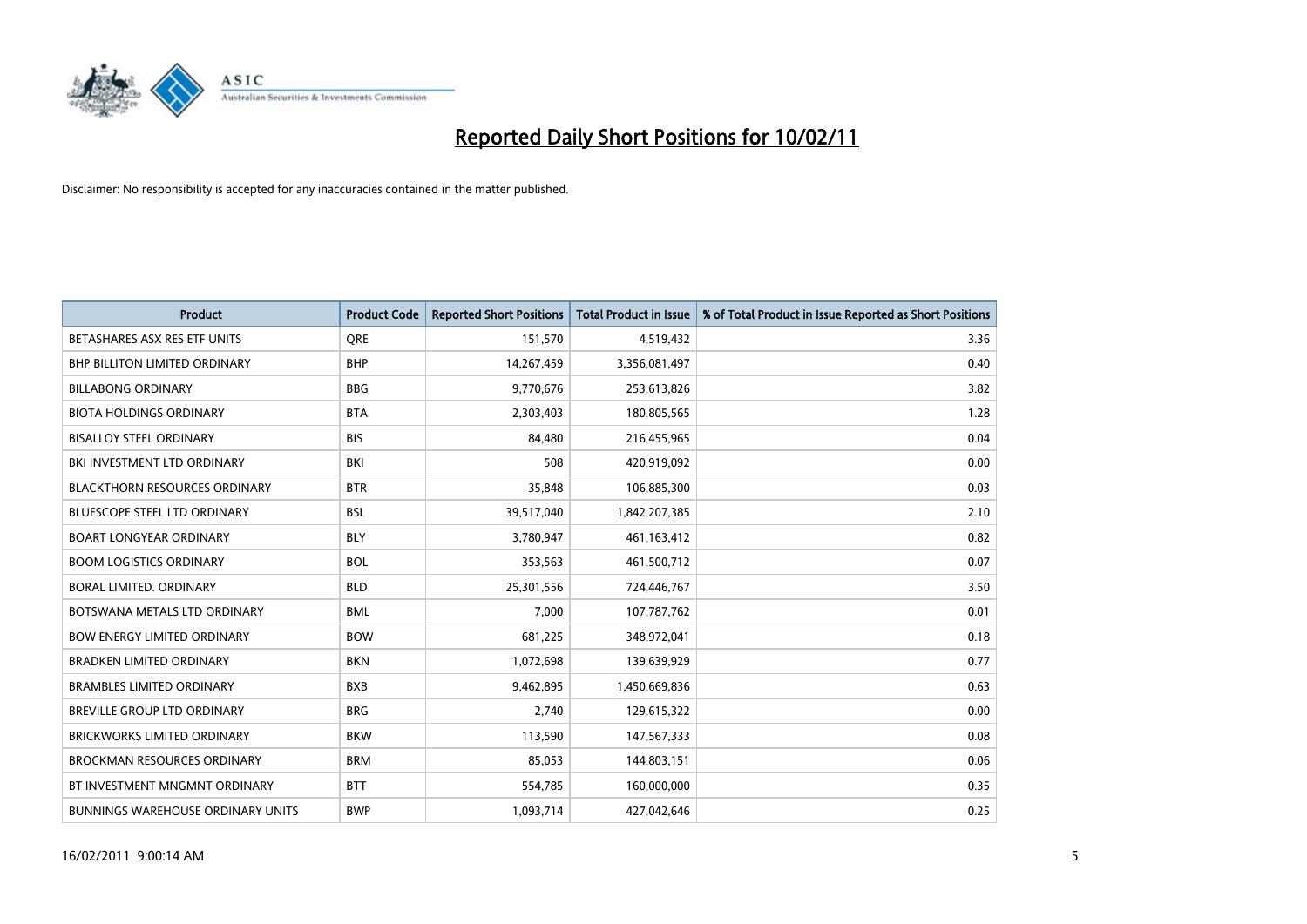

| <b>Product</b>                           | <b>Product Code</b> | <b>Reported Short Positions</b> | <b>Total Product in Issue</b> | % of Total Product in Issue Reported as Short Positions |
|------------------------------------------|---------------------|---------------------------------|-------------------------------|---------------------------------------------------------|
| BETASHARES ASX RES ETF UNITS             | <b>ORE</b>          | 151,570                         | 4,519,432                     | 3.36                                                    |
| BHP BILLITON LIMITED ORDINARY            | <b>BHP</b>          | 14,267,459                      | 3,356,081,497                 | 0.40                                                    |
| <b>BILLABONG ORDINARY</b>                | <b>BBG</b>          | 9,770,676                       | 253,613,826                   | 3.82                                                    |
| <b>BIOTA HOLDINGS ORDINARY</b>           | <b>BTA</b>          | 2,303,403                       | 180,805,565                   | 1.28                                                    |
| <b>BISALLOY STEEL ORDINARY</b>           | <b>BIS</b>          | 84,480                          | 216,455,965                   | 0.04                                                    |
| BKI INVESTMENT LTD ORDINARY              | <b>BKI</b>          | 508                             | 420,919,092                   | 0.00                                                    |
| <b>BLACKTHORN RESOURCES ORDINARY</b>     | <b>BTR</b>          | 35,848                          | 106,885,300                   | 0.03                                                    |
| <b>BLUESCOPE STEEL LTD ORDINARY</b>      | <b>BSL</b>          | 39,517,040                      | 1,842,207,385                 | 2.10                                                    |
| <b>BOART LONGYEAR ORDINARY</b>           | <b>BLY</b>          | 3,780,947                       | 461,163,412                   | 0.82                                                    |
| <b>BOOM LOGISTICS ORDINARY</b>           | <b>BOL</b>          | 353,563                         | 461,500,712                   | 0.07                                                    |
| <b>BORAL LIMITED, ORDINARY</b>           | <b>BLD</b>          | 25,301,556                      | 724,446,767                   | 3.50                                                    |
| BOTSWANA METALS LTD ORDINARY             | <b>BML</b>          | 7,000                           | 107,787,762                   | 0.01                                                    |
| <b>BOW ENERGY LIMITED ORDINARY</b>       | <b>BOW</b>          | 681,225                         | 348,972,041                   | 0.18                                                    |
| <b>BRADKEN LIMITED ORDINARY</b>          | <b>BKN</b>          | 1,072,698                       | 139,639,929                   | 0.77                                                    |
| <b>BRAMBLES LIMITED ORDINARY</b>         | <b>BXB</b>          | 9,462,895                       | 1,450,669,836                 | 0.63                                                    |
| BREVILLE GROUP LTD ORDINARY              | <b>BRG</b>          | 2.740                           | 129,615,322                   | 0.00                                                    |
| <b>BRICKWORKS LIMITED ORDINARY</b>       | <b>BKW</b>          | 113,590                         | 147,567,333                   | 0.08                                                    |
| <b>BROCKMAN RESOURCES ORDINARY</b>       | <b>BRM</b>          | 85,053                          | 144,803,151                   | 0.06                                                    |
| BT INVESTMENT MNGMNT ORDINARY            | <b>BTT</b>          | 554,785                         | 160,000,000                   | 0.35                                                    |
| <b>BUNNINGS WAREHOUSE ORDINARY UNITS</b> | <b>BWP</b>          | 1,093,714                       | 427,042,646                   | 0.25                                                    |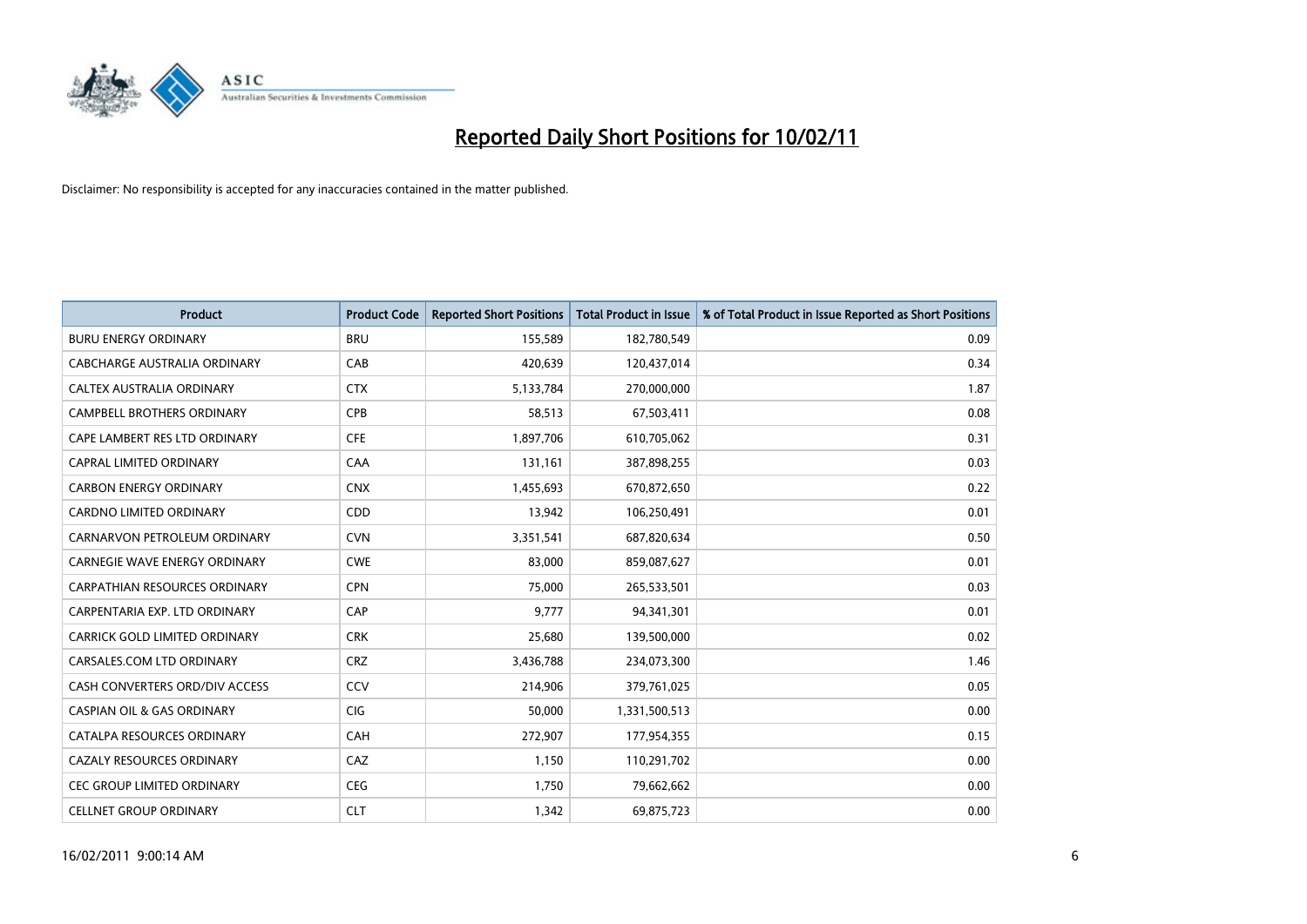

| <b>Product</b>                        | <b>Product Code</b> | <b>Reported Short Positions</b> | <b>Total Product in Issue</b> | % of Total Product in Issue Reported as Short Positions |
|---------------------------------------|---------------------|---------------------------------|-------------------------------|---------------------------------------------------------|
| <b>BURU ENERGY ORDINARY</b>           | <b>BRU</b>          | 155,589                         | 182,780,549                   | 0.09                                                    |
| CABCHARGE AUSTRALIA ORDINARY          | CAB                 | 420,639                         | 120,437,014                   | 0.34                                                    |
| CALTEX AUSTRALIA ORDINARY             | <b>CTX</b>          | 5,133,784                       | 270,000,000                   | 1.87                                                    |
| CAMPBELL BROTHERS ORDINARY            | <b>CPB</b>          | 58,513                          | 67,503,411                    | 0.08                                                    |
| CAPE LAMBERT RES LTD ORDINARY         | <b>CFE</b>          | 1,897,706                       | 610,705,062                   | 0.31                                                    |
| <b>CAPRAL LIMITED ORDINARY</b>        | CAA                 | 131,161                         | 387,898,255                   | 0.03                                                    |
| <b>CARBON ENERGY ORDINARY</b>         | <b>CNX</b>          | 1,455,693                       | 670,872,650                   | 0.22                                                    |
| CARDNO LIMITED ORDINARY               | CDD                 | 13,942                          | 106,250,491                   | 0.01                                                    |
| CARNARVON PETROLEUM ORDINARY          | <b>CVN</b>          | 3,351,541                       | 687,820,634                   | 0.50                                                    |
| CARNEGIE WAVE ENERGY ORDINARY         | <b>CWE</b>          | 83,000                          | 859,087,627                   | 0.01                                                    |
| CARPATHIAN RESOURCES ORDINARY         | <b>CPN</b>          | 75,000                          | 265,533,501                   | 0.03                                                    |
| CARPENTARIA EXP. LTD ORDINARY         | CAP                 | 9.777                           | 94,341,301                    | 0.01                                                    |
| CARRICK GOLD LIMITED ORDINARY         | <b>CRK</b>          | 25,680                          | 139,500,000                   | 0.02                                                    |
| CARSALES.COM LTD ORDINARY             | <b>CRZ</b>          | 3,436,788                       | 234,073,300                   | 1.46                                                    |
| CASH CONVERTERS ORD/DIV ACCESS        | <b>CCV</b>          | 214,906                         | 379,761,025                   | 0.05                                                    |
| <b>CASPIAN OIL &amp; GAS ORDINARY</b> | CIG                 | 50,000                          | 1,331,500,513                 | 0.00                                                    |
| CATALPA RESOURCES ORDINARY            | CAH                 | 272,907                         | 177,954,355                   | 0.15                                                    |
| CAZALY RESOURCES ORDINARY             | CAZ                 | 1,150                           | 110,291,702                   | 0.00                                                    |
| CEC GROUP LIMITED ORDINARY            | <b>CEG</b>          | 1,750                           | 79,662,662                    | 0.00                                                    |
| <b>CELLNET GROUP ORDINARY</b>         | <b>CLT</b>          | 1,342                           | 69,875,723                    | 0.00                                                    |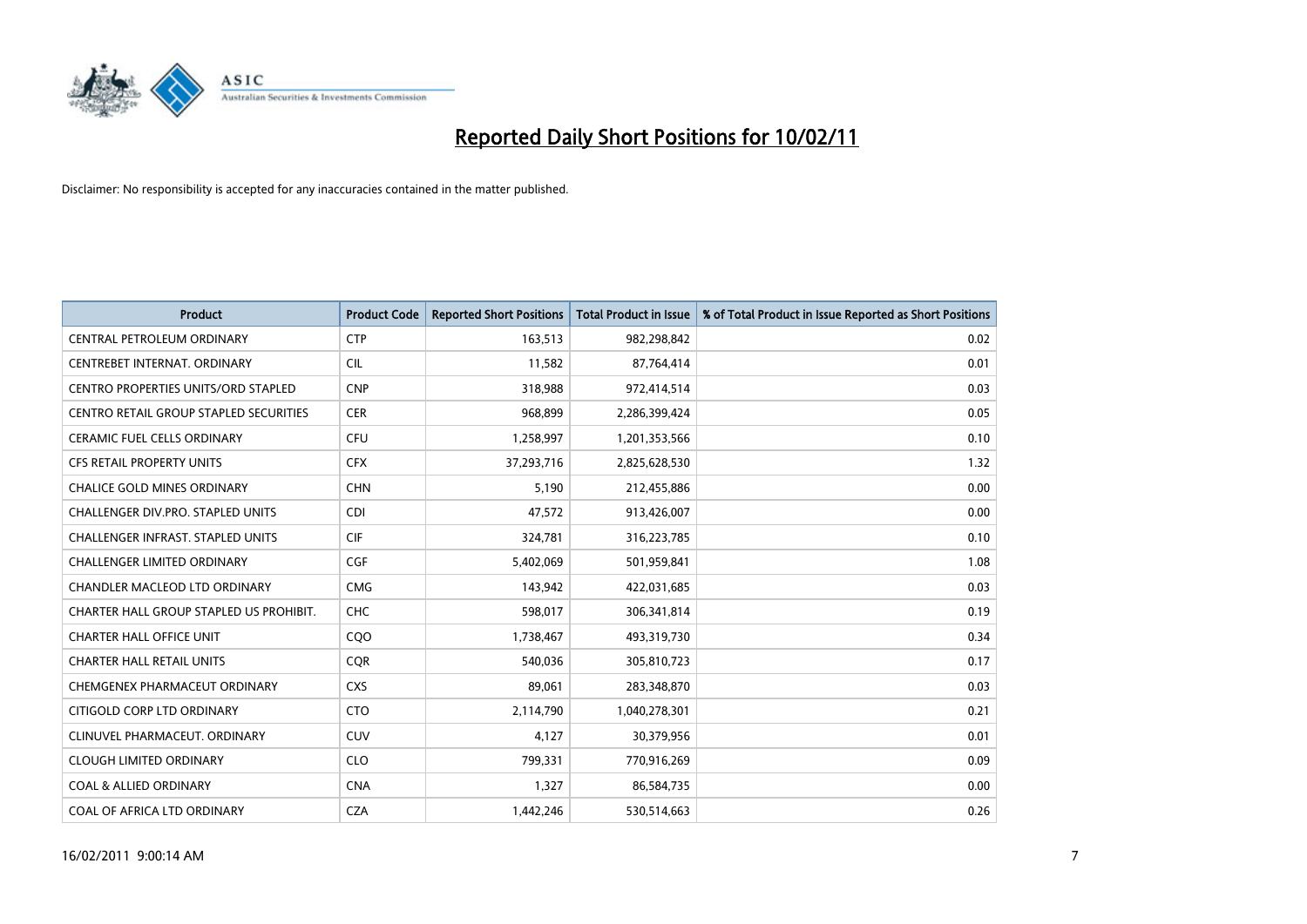

| <b>Product</b>                                | <b>Product Code</b> | <b>Reported Short Positions</b> | <b>Total Product in Issue</b> | % of Total Product in Issue Reported as Short Positions |
|-----------------------------------------------|---------------------|---------------------------------|-------------------------------|---------------------------------------------------------|
| CENTRAL PETROLEUM ORDINARY                    | <b>CTP</b>          | 163,513                         | 982,298,842                   | 0.02                                                    |
| CENTREBET INTERNAT. ORDINARY                  | <b>CIL</b>          | 11,582                          | 87,764,414                    | 0.01                                                    |
| <b>CENTRO PROPERTIES UNITS/ORD STAPLED</b>    | <b>CNP</b>          | 318,988                         | 972,414,514                   | 0.03                                                    |
| <b>CENTRO RETAIL GROUP STAPLED SECURITIES</b> | <b>CER</b>          | 968,899                         | 2,286,399,424                 | 0.05                                                    |
| <b>CERAMIC FUEL CELLS ORDINARY</b>            | <b>CFU</b>          | 1,258,997                       | 1,201,353,566                 | 0.10                                                    |
| <b>CFS RETAIL PROPERTY UNITS</b>              | <b>CFX</b>          | 37,293,716                      | 2,825,628,530                 | 1.32                                                    |
| <b>CHALICE GOLD MINES ORDINARY</b>            | <b>CHN</b>          | 5,190                           | 212,455,886                   | 0.00                                                    |
| CHALLENGER DIV.PRO. STAPLED UNITS             | <b>CDI</b>          | 47,572                          | 913,426,007                   | 0.00                                                    |
| CHALLENGER INFRAST. STAPLED UNITS             | <b>CIF</b>          | 324,781                         | 316,223,785                   | 0.10                                                    |
| <b>CHALLENGER LIMITED ORDINARY</b>            | <b>CGF</b>          | 5,402,069                       | 501,959,841                   | 1.08                                                    |
| CHANDLER MACLEOD LTD ORDINARY                 | <b>CMG</b>          | 143,942                         | 422,031,685                   | 0.03                                                    |
| CHARTER HALL GROUP STAPLED US PROHIBIT.       | <b>CHC</b>          | 598,017                         | 306,341,814                   | 0.19                                                    |
| <b>CHARTER HALL OFFICE UNIT</b>               | CQO                 | 1,738,467                       | 493,319,730                   | 0.34                                                    |
| <b>CHARTER HALL RETAIL UNITS</b>              | <b>COR</b>          | 540,036                         | 305,810,723                   | 0.17                                                    |
| CHEMGENEX PHARMACEUT ORDINARY                 | <b>CXS</b>          | 89,061                          | 283,348,870                   | 0.03                                                    |
| CITIGOLD CORP LTD ORDINARY                    | <b>CTO</b>          | 2,114,790                       | 1,040,278,301                 | 0.21                                                    |
| CLINUVEL PHARMACEUT, ORDINARY                 | <b>CUV</b>          | 4,127                           | 30,379,956                    | 0.01                                                    |
| <b>CLOUGH LIMITED ORDINARY</b>                | <b>CLO</b>          | 799,331                         | 770,916,269                   | 0.09                                                    |
| <b>COAL &amp; ALLIED ORDINARY</b>             | <b>CNA</b>          | 1,327                           | 86,584,735                    | 0.00                                                    |
| COAL OF AFRICA LTD ORDINARY                   | <b>CZA</b>          | 1,442,246                       | 530,514,663                   | 0.26                                                    |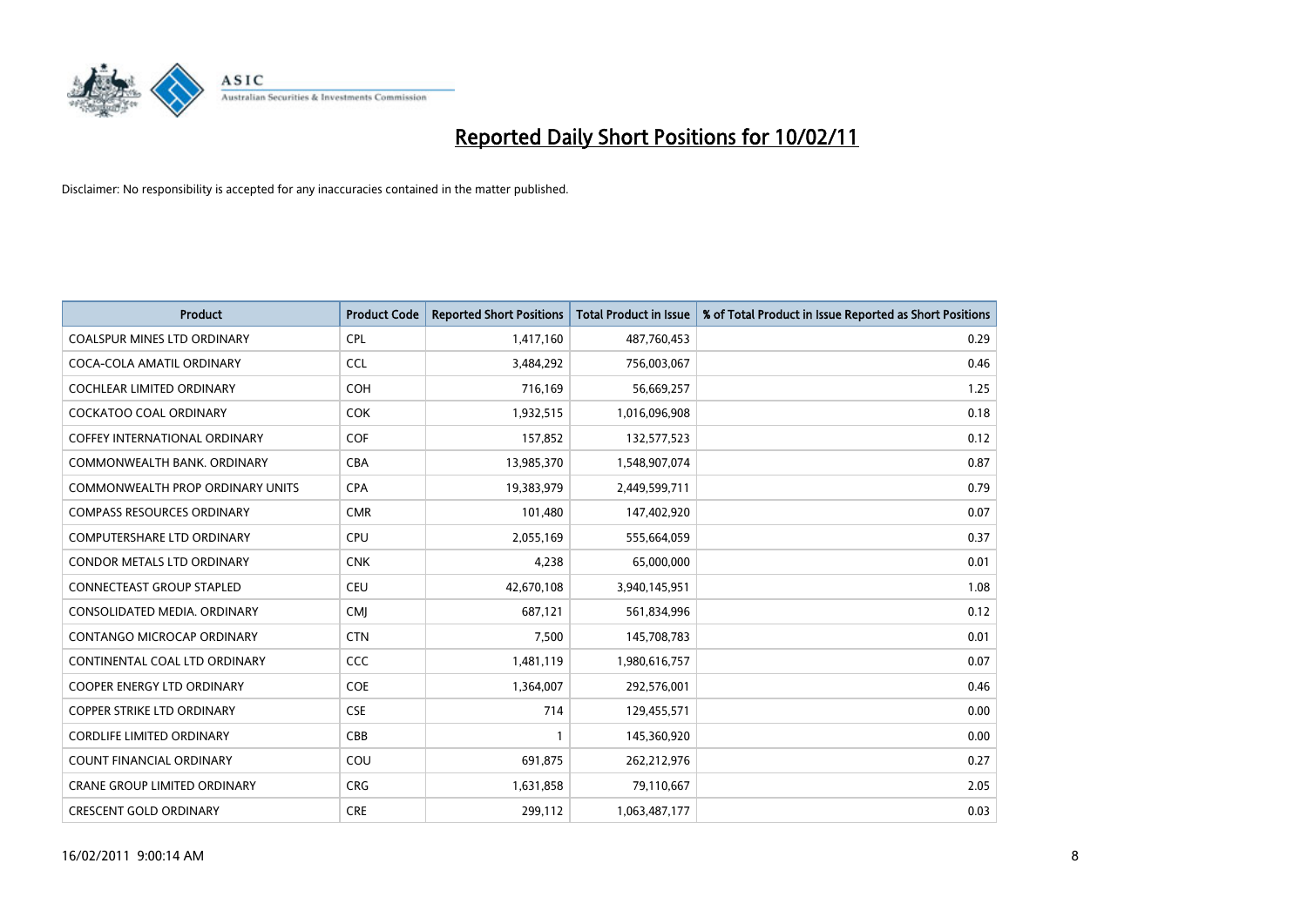

| <b>Product</b>                       | <b>Product Code</b> | <b>Reported Short Positions</b> | Total Product in Issue | % of Total Product in Issue Reported as Short Positions |
|--------------------------------------|---------------------|---------------------------------|------------------------|---------------------------------------------------------|
| <b>COALSPUR MINES LTD ORDINARY</b>   | <b>CPL</b>          | 1,417,160                       | 487,760,453            | 0.29                                                    |
| COCA-COLA AMATIL ORDINARY            | <b>CCL</b>          | 3,484,292                       | 756,003,067            | 0.46                                                    |
| <b>COCHLEAR LIMITED ORDINARY</b>     | <b>COH</b>          | 716,169                         | 56,669,257             | 1.25                                                    |
| COCKATOO COAL ORDINARY               | <b>COK</b>          | 1,932,515                       | 1,016,096,908          | 0.18                                                    |
| <b>COFFEY INTERNATIONAL ORDINARY</b> | <b>COF</b>          | 157,852                         | 132,577,523            | 0.12                                                    |
| COMMONWEALTH BANK, ORDINARY          | <b>CBA</b>          | 13,985,370                      | 1,548,907,074          | 0.87                                                    |
| COMMONWEALTH PROP ORDINARY UNITS     | <b>CPA</b>          | 19,383,979                      | 2,449,599,711          | 0.79                                                    |
| <b>COMPASS RESOURCES ORDINARY</b>    | <b>CMR</b>          | 101,480                         | 147,402,920            | 0.07                                                    |
| COMPUTERSHARE LTD ORDINARY           | <b>CPU</b>          | 2,055,169                       | 555,664,059            | 0.37                                                    |
| <b>CONDOR METALS LTD ORDINARY</b>    | <b>CNK</b>          | 4,238                           | 65,000,000             | 0.01                                                    |
| <b>CONNECTEAST GROUP STAPLED</b>     | <b>CEU</b>          | 42,670,108                      | 3,940,145,951          | 1.08                                                    |
| CONSOLIDATED MEDIA, ORDINARY         | <b>CMI</b>          | 687,121                         | 561,834,996            | 0.12                                                    |
| CONTANGO MICROCAP ORDINARY           | <b>CTN</b>          | 7,500                           | 145,708,783            | 0.01                                                    |
| CONTINENTAL COAL LTD ORDINARY        | <b>CCC</b>          | 1,481,119                       | 1,980,616,757          | 0.07                                                    |
| <b>COOPER ENERGY LTD ORDINARY</b>    | <b>COE</b>          | 1,364,007                       | 292,576,001            | 0.46                                                    |
| <b>COPPER STRIKE LTD ORDINARY</b>    | <b>CSE</b>          | 714                             | 129,455,571            | 0.00                                                    |
| <b>CORDLIFE LIMITED ORDINARY</b>     | CBB                 |                                 | 145,360,920            | 0.00                                                    |
| COUNT FINANCIAL ORDINARY             | COU                 | 691,875                         | 262,212,976            | 0.27                                                    |
| <b>CRANE GROUP LIMITED ORDINARY</b>  | <b>CRG</b>          | 1,631,858                       | 79,110,667             | 2.05                                                    |
| <b>CRESCENT GOLD ORDINARY</b>        | <b>CRE</b>          | 299,112                         | 1,063,487,177          | 0.03                                                    |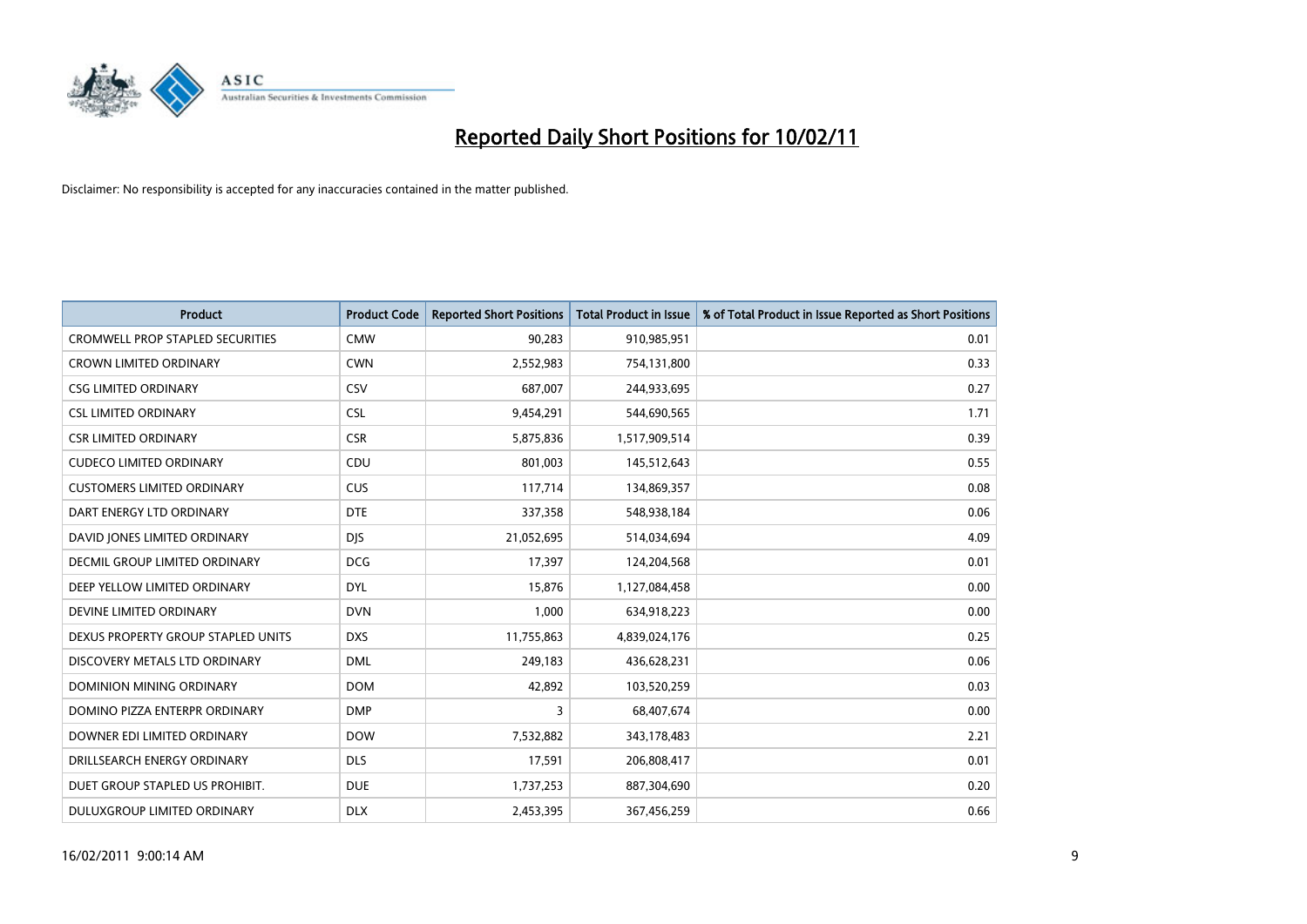

| <b>Product</b>                          | <b>Product Code</b> | <b>Reported Short Positions</b> | <b>Total Product in Issue</b> | % of Total Product in Issue Reported as Short Positions |
|-----------------------------------------|---------------------|---------------------------------|-------------------------------|---------------------------------------------------------|
| <b>CROMWELL PROP STAPLED SECURITIES</b> | <b>CMW</b>          | 90,283                          | 910,985,951                   | 0.01                                                    |
| <b>CROWN LIMITED ORDINARY</b>           | <b>CWN</b>          | 2,552,983                       | 754,131,800                   | 0.33                                                    |
| <b>CSG LIMITED ORDINARY</b>             | CSV                 | 687,007                         | 244,933,695                   | 0.27                                                    |
| <b>CSL LIMITED ORDINARY</b>             | <b>CSL</b>          | 9,454,291                       | 544,690,565                   | 1.71                                                    |
| <b>CSR LIMITED ORDINARY</b>             | <b>CSR</b>          | 5,875,836                       | 1,517,909,514                 | 0.39                                                    |
| <b>CUDECO LIMITED ORDINARY</b>          | CDU                 | 801,003                         | 145,512,643                   | 0.55                                                    |
| <b>CUSTOMERS LIMITED ORDINARY</b>       | <b>CUS</b>          | 117,714                         | 134,869,357                   | 0.08                                                    |
| DART ENERGY LTD ORDINARY                | <b>DTE</b>          | 337,358                         | 548,938,184                   | 0.06                                                    |
| DAVID JONES LIMITED ORDINARY            | <b>DJS</b>          | 21,052,695                      | 514,034,694                   | 4.09                                                    |
| DECMIL GROUP LIMITED ORDINARY           | <b>DCG</b>          | 17,397                          | 124,204,568                   | 0.01                                                    |
| DEEP YELLOW LIMITED ORDINARY            | <b>DYL</b>          | 15,876                          | 1,127,084,458                 | 0.00                                                    |
| DEVINE LIMITED ORDINARY                 | <b>DVN</b>          | 1,000                           | 634,918,223                   | 0.00                                                    |
| DEXUS PROPERTY GROUP STAPLED UNITS      | <b>DXS</b>          | 11,755,863                      | 4,839,024,176                 | 0.25                                                    |
| DISCOVERY METALS LTD ORDINARY           | <b>DML</b>          | 249,183                         | 436,628,231                   | 0.06                                                    |
| <b>DOMINION MINING ORDINARY</b>         | <b>DOM</b>          | 42,892                          | 103,520,259                   | 0.03                                                    |
| DOMINO PIZZA ENTERPR ORDINARY           | <b>DMP</b>          | 3                               | 68,407,674                    | 0.00                                                    |
| DOWNER EDI LIMITED ORDINARY             | <b>DOW</b>          | 7,532,882                       | 343,178,483                   | 2.21                                                    |
| DRILLSEARCH ENERGY ORDINARY             | <b>DLS</b>          | 17,591                          | 206,808,417                   | 0.01                                                    |
| DUET GROUP STAPLED US PROHIBIT.         | <b>DUE</b>          | 1,737,253                       | 887,304,690                   | 0.20                                                    |
| DULUXGROUP LIMITED ORDINARY             | <b>DLX</b>          | 2,453,395                       | 367,456,259                   | 0.66                                                    |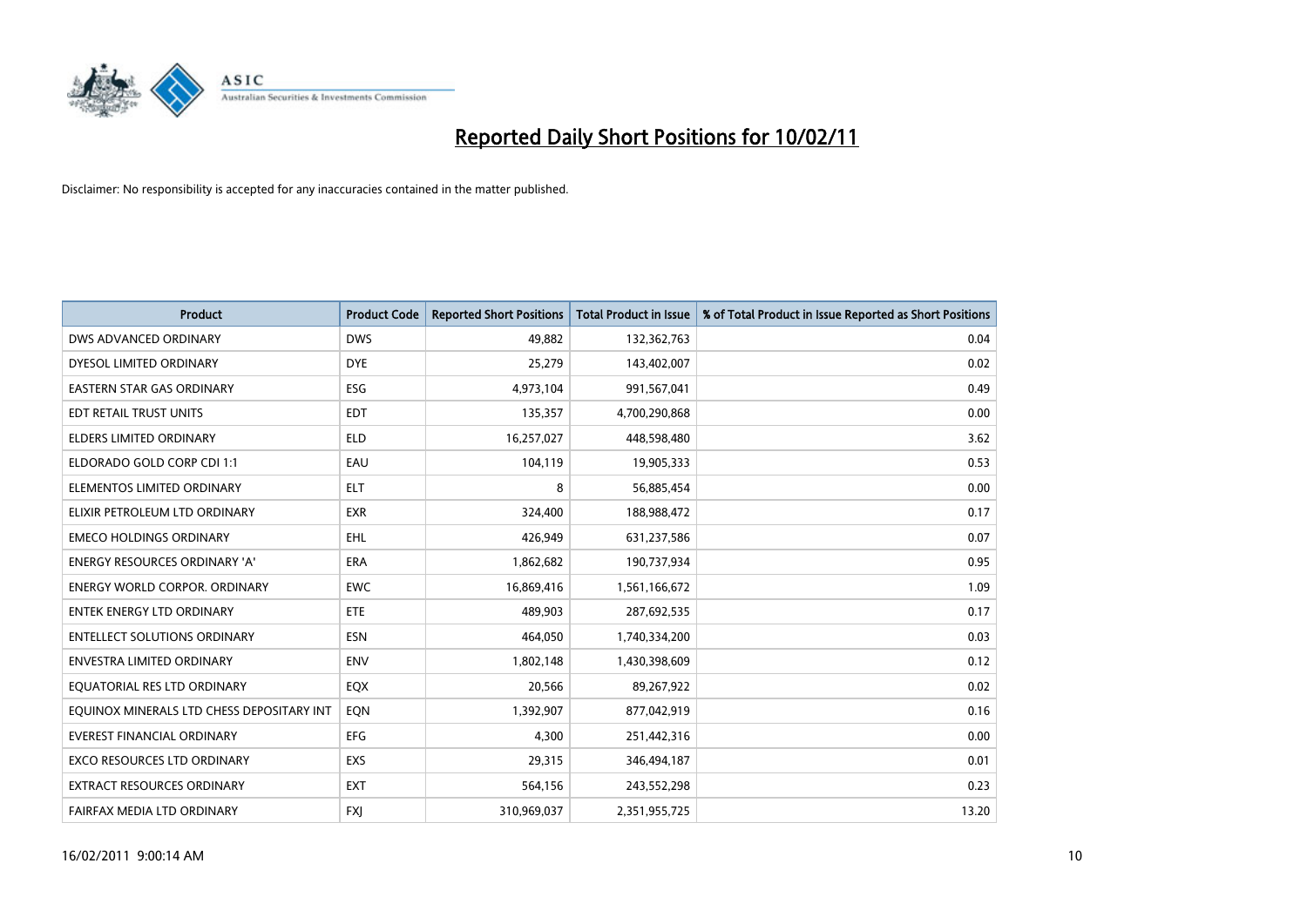

| Product                                   | <b>Product Code</b> | <b>Reported Short Positions</b> | <b>Total Product in Issue</b> | % of Total Product in Issue Reported as Short Positions |
|-------------------------------------------|---------------------|---------------------------------|-------------------------------|---------------------------------------------------------|
| DWS ADVANCED ORDINARY                     | <b>DWS</b>          | 49,882                          | 132,362,763                   | 0.04                                                    |
| DYESOL LIMITED ORDINARY                   | <b>DYE</b>          | 25,279                          | 143,402,007                   | 0.02                                                    |
| <b>EASTERN STAR GAS ORDINARY</b>          | ESG                 | 4,973,104                       | 991,567,041                   | 0.49                                                    |
| EDT RETAIL TRUST UNITS                    | EDT                 | 135,357                         | 4,700,290,868                 | 0.00                                                    |
| <b>ELDERS LIMITED ORDINARY</b>            | <b>ELD</b>          | 16,257,027                      | 448,598,480                   | 3.62                                                    |
| ELDORADO GOLD CORP CDI 1:1                | EAU                 | 104,119                         | 19,905,333                    | 0.53                                                    |
| ELEMENTOS LIMITED ORDINARY                | <b>ELT</b>          | 8                               | 56,885,454                    | 0.00                                                    |
| ELIXIR PETROLEUM LTD ORDINARY             | <b>EXR</b>          | 324,400                         | 188,988,472                   | 0.17                                                    |
| <b>EMECO HOLDINGS ORDINARY</b>            | <b>EHL</b>          | 426,949                         | 631,237,586                   | 0.07                                                    |
| <b>ENERGY RESOURCES ORDINARY 'A'</b>      | <b>ERA</b>          | 1,862,682                       | 190,737,934                   | 0.95                                                    |
| <b>ENERGY WORLD CORPOR, ORDINARY</b>      | <b>EWC</b>          | 16,869,416                      | 1,561,166,672                 | 1.09                                                    |
| <b>ENTEK ENERGY LTD ORDINARY</b>          | ETE                 | 489,903                         | 287,692,535                   | 0.17                                                    |
| <b>ENTELLECT SOLUTIONS ORDINARY</b>       | <b>ESN</b>          | 464,050                         | 1,740,334,200                 | 0.03                                                    |
| <b>ENVESTRA LIMITED ORDINARY</b>          | <b>ENV</b>          | 1,802,148                       | 1,430,398,609                 | 0.12                                                    |
| EQUATORIAL RES LTD ORDINARY               | EQX                 | 20,566                          | 89,267,922                    | 0.02                                                    |
| EQUINOX MINERALS LTD CHESS DEPOSITARY INT | EON                 | 1,392,907                       | 877,042,919                   | 0.16                                                    |
| <b>EVEREST FINANCIAL ORDINARY</b>         | EFG                 | 4,300                           | 251,442,316                   | 0.00                                                    |
| EXCO RESOURCES LTD ORDINARY               | EXS                 | 29,315                          | 346,494,187                   | 0.01                                                    |
| EXTRACT RESOURCES ORDINARY                | <b>EXT</b>          | 564,156                         | 243,552,298                   | 0.23                                                    |
| FAIRFAX MEDIA LTD ORDINARY                | <b>FXI</b>          | 310,969,037                     | 2,351,955,725                 | 13.20                                                   |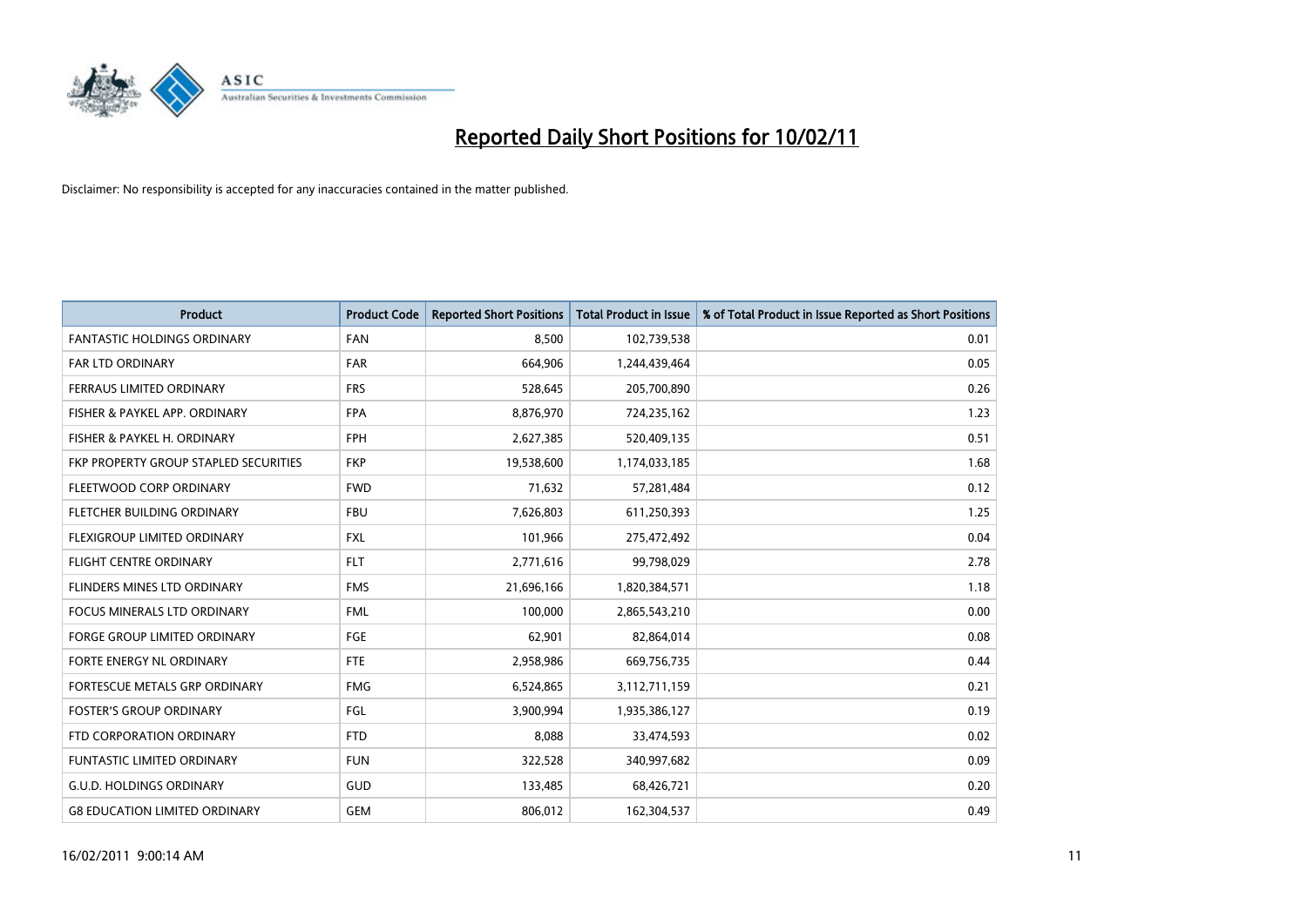

| Product                               | <b>Product Code</b> | <b>Reported Short Positions</b> | <b>Total Product in Issue</b> | % of Total Product in Issue Reported as Short Positions |
|---------------------------------------|---------------------|---------------------------------|-------------------------------|---------------------------------------------------------|
| <b>FANTASTIC HOLDINGS ORDINARY</b>    | <b>FAN</b>          | 8,500                           | 102,739,538                   | 0.01                                                    |
| <b>FAR LTD ORDINARY</b>               | <b>FAR</b>          | 664,906                         | 1,244,439,464                 | 0.05                                                    |
| FERRAUS LIMITED ORDINARY              | <b>FRS</b>          | 528,645                         | 205,700,890                   | 0.26                                                    |
| FISHER & PAYKEL APP. ORDINARY         | <b>FPA</b>          | 8,876,970                       | 724,235,162                   | 1.23                                                    |
| FISHER & PAYKEL H. ORDINARY           | <b>FPH</b>          | 2,627,385                       | 520,409,135                   | 0.51                                                    |
| FKP PROPERTY GROUP STAPLED SECURITIES | <b>FKP</b>          | 19,538,600                      | 1,174,033,185                 | 1.68                                                    |
| FLEETWOOD CORP ORDINARY               | <b>FWD</b>          | 71,632                          | 57,281,484                    | 0.12                                                    |
| FLETCHER BUILDING ORDINARY            | <b>FBU</b>          | 7,626,803                       | 611,250,393                   | 1.25                                                    |
| FLEXIGROUP LIMITED ORDINARY           | <b>FXL</b>          | 101,966                         | 275,472,492                   | 0.04                                                    |
| <b>FLIGHT CENTRE ORDINARY</b>         | <b>FLT</b>          | 2,771,616                       | 99,798,029                    | 2.78                                                    |
| FLINDERS MINES LTD ORDINARY           | <b>FMS</b>          | 21,696,166                      | 1,820,384,571                 | 1.18                                                    |
| <b>FOCUS MINERALS LTD ORDINARY</b>    | <b>FML</b>          | 100,000                         | 2,865,543,210                 | 0.00                                                    |
| <b>FORGE GROUP LIMITED ORDINARY</b>   | FGE                 | 62,901                          | 82,864,014                    | 0.08                                                    |
| FORTE ENERGY NL ORDINARY              | <b>FTE</b>          | 2,958,986                       | 669,756,735                   | 0.44                                                    |
| FORTESCUE METALS GRP ORDINARY         | <b>FMG</b>          | 6,524,865                       | 3,112,711,159                 | 0.21                                                    |
| <b>FOSTER'S GROUP ORDINARY</b>        | FGL                 | 3,900,994                       | 1,935,386,127                 | 0.19                                                    |
| FTD CORPORATION ORDINARY              | <b>FTD</b>          | 8,088                           | 33,474,593                    | 0.02                                                    |
| FUNTASTIC LIMITED ORDINARY            | <b>FUN</b>          | 322,528                         | 340,997,682                   | 0.09                                                    |
| <b>G.U.D. HOLDINGS ORDINARY</b>       | GUD                 | 133,485                         | 68,426,721                    | 0.20                                                    |
| <b>G8 EDUCATION LIMITED ORDINARY</b>  | <b>GEM</b>          | 806.012                         | 162,304,537                   | 0.49                                                    |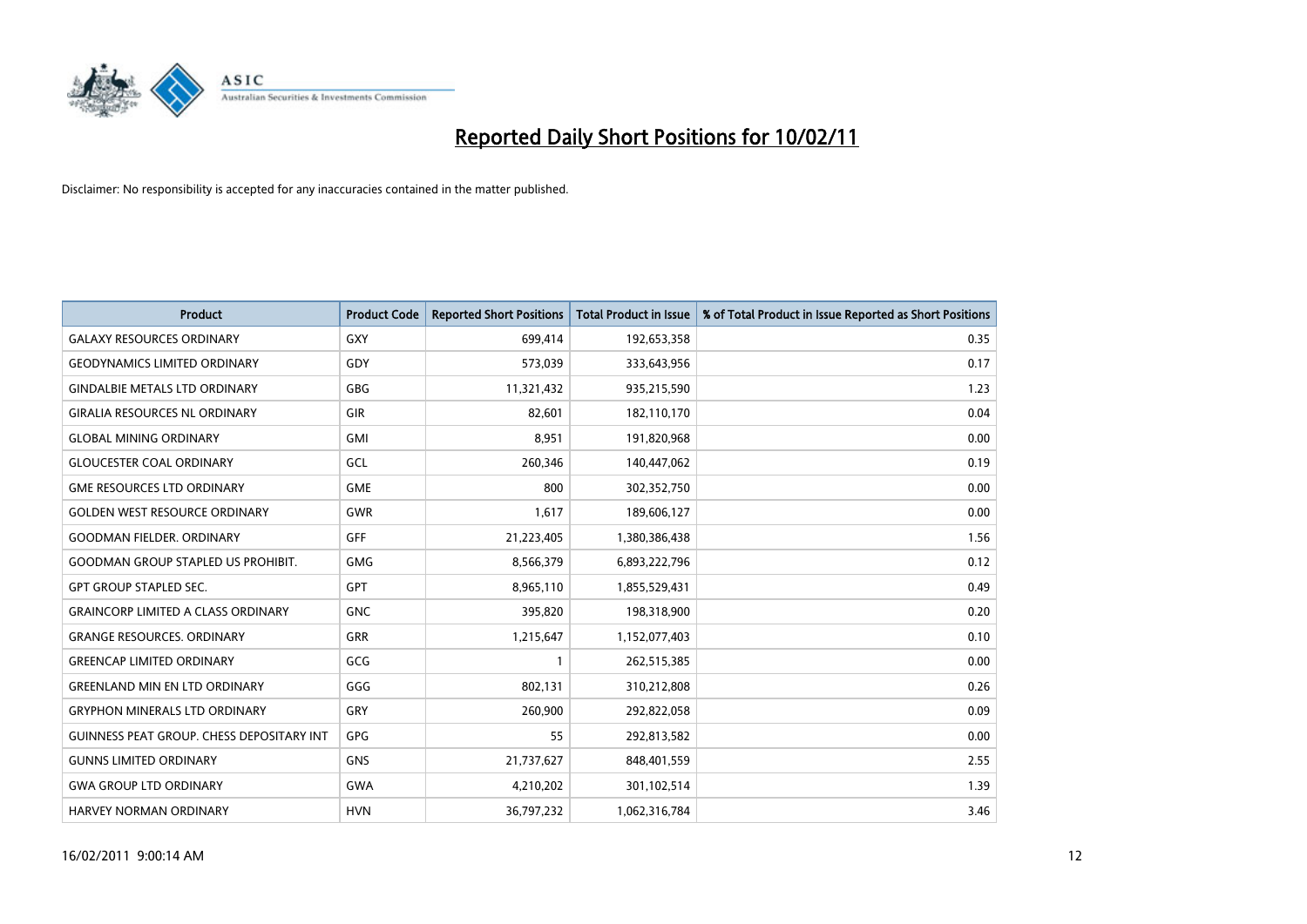

| <b>Product</b>                                   | <b>Product Code</b> | <b>Reported Short Positions</b> | Total Product in Issue | % of Total Product in Issue Reported as Short Positions |
|--------------------------------------------------|---------------------|---------------------------------|------------------------|---------------------------------------------------------|
| <b>GALAXY RESOURCES ORDINARY</b>                 | GXY                 | 699,414                         | 192,653,358            | 0.35                                                    |
| <b>GEODYNAMICS LIMITED ORDINARY</b>              | GDY                 | 573,039                         | 333,643,956            | 0.17                                                    |
| <b>GINDALBIE METALS LTD ORDINARY</b>             | <b>GBG</b>          | 11,321,432                      | 935,215,590            | 1.23                                                    |
| <b>GIRALIA RESOURCES NL ORDINARY</b>             | GIR                 | 82,601                          | 182,110,170            | 0.04                                                    |
| <b>GLOBAL MINING ORDINARY</b>                    | <b>GMI</b>          | 8,951                           | 191,820,968            | 0.00                                                    |
| <b>GLOUCESTER COAL ORDINARY</b>                  | <b>GCL</b>          | 260,346                         | 140,447,062            | 0.19                                                    |
| <b>GME RESOURCES LTD ORDINARY</b>                | <b>GME</b>          | 800                             | 302,352,750            | 0.00                                                    |
| <b>GOLDEN WEST RESOURCE ORDINARY</b>             | <b>GWR</b>          | 1,617                           | 189,606,127            | 0.00                                                    |
| <b>GOODMAN FIELDER. ORDINARY</b>                 | <b>GFF</b>          | 21,223,405                      | 1,380,386,438          | 1.56                                                    |
| <b>GOODMAN GROUP STAPLED US PROHIBIT.</b>        | GMG                 | 8,566,379                       | 6,893,222,796          | 0.12                                                    |
| <b>GPT GROUP STAPLED SEC.</b>                    | <b>GPT</b>          | 8,965,110                       | 1,855,529,431          | 0.49                                                    |
| <b>GRAINCORP LIMITED A CLASS ORDINARY</b>        | <b>GNC</b>          | 395,820                         | 198,318,900            | 0.20                                                    |
| <b>GRANGE RESOURCES, ORDINARY</b>                | <b>GRR</b>          | 1,215,647                       | 1,152,077,403          | 0.10                                                    |
| <b>GREENCAP LIMITED ORDINARY</b>                 | GCG                 |                                 | 262,515,385            | 0.00                                                    |
| <b>GREENLAND MIN EN LTD ORDINARY</b>             | GGG                 | 802,131                         | 310,212,808            | 0.26                                                    |
| <b>GRYPHON MINERALS LTD ORDINARY</b>             | GRY                 | 260,900                         | 292,822,058            | 0.09                                                    |
| <b>GUINNESS PEAT GROUP. CHESS DEPOSITARY INT</b> | <b>GPG</b>          | 55                              | 292,813,582            | 0.00                                                    |
| <b>GUNNS LIMITED ORDINARY</b>                    | <b>GNS</b>          | 21,737,627                      | 848,401,559            | 2.55                                                    |
| <b>GWA GROUP LTD ORDINARY</b>                    | <b>GWA</b>          | 4,210,202                       | 301,102,514            | 1.39                                                    |
| <b>HARVEY NORMAN ORDINARY</b>                    | <b>HVN</b>          | 36,797,232                      | 1,062,316,784          | 3.46                                                    |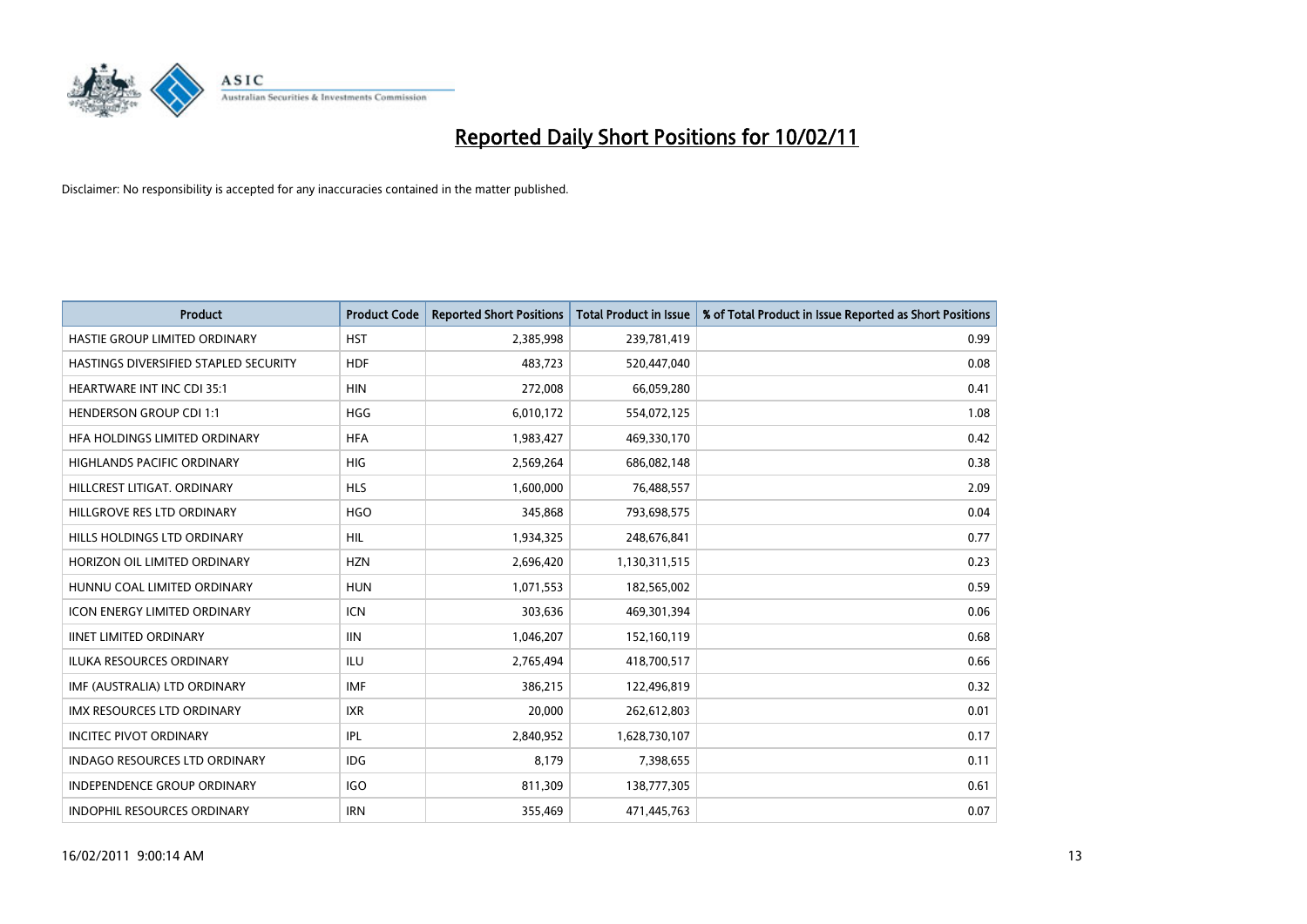

| Product                               | <b>Product Code</b> | <b>Reported Short Positions</b> | <b>Total Product in Issue</b> | % of Total Product in Issue Reported as Short Positions |
|---------------------------------------|---------------------|---------------------------------|-------------------------------|---------------------------------------------------------|
| HASTIE GROUP LIMITED ORDINARY         | <b>HST</b>          | 2,385,998                       | 239,781,419                   | 0.99                                                    |
| HASTINGS DIVERSIFIED STAPLED SECURITY | <b>HDF</b>          | 483,723                         | 520,447,040                   | 0.08                                                    |
| <b>HEARTWARE INT INC CDI 35:1</b>     | <b>HIN</b>          | 272,008                         | 66,059,280                    | 0.41                                                    |
| <b>HENDERSON GROUP CDI 1:1</b>        | <b>HGG</b>          | 6,010,172                       | 554,072,125                   | 1.08                                                    |
| HFA HOLDINGS LIMITED ORDINARY         | <b>HFA</b>          | 1,983,427                       | 469,330,170                   | 0.42                                                    |
| <b>HIGHLANDS PACIFIC ORDINARY</b>     | <b>HIG</b>          | 2,569,264                       | 686,082,148                   | 0.38                                                    |
| HILLCREST LITIGAT, ORDINARY           | <b>HLS</b>          | 1,600,000                       | 76,488,557                    | 2.09                                                    |
| HILLGROVE RES LTD ORDINARY            | <b>HGO</b>          | 345,868                         | 793,698,575                   | 0.04                                                    |
| HILLS HOLDINGS LTD ORDINARY           | <b>HIL</b>          | 1,934,325                       | 248,676,841                   | 0.77                                                    |
| HORIZON OIL LIMITED ORDINARY          | <b>HZN</b>          | 2,696,420                       | 1,130,311,515                 | 0.23                                                    |
| HUNNU COAL LIMITED ORDINARY           | <b>HUN</b>          | 1,071,553                       | 182,565,002                   | 0.59                                                    |
| <b>ICON ENERGY LIMITED ORDINARY</b>   | <b>ICN</b>          | 303,636                         | 469,301,394                   | 0.06                                                    |
| <b>IINET LIMITED ORDINARY</b>         | <b>IIN</b>          | 1,046,207                       | 152,160,119                   | 0.68                                                    |
| <b>ILUKA RESOURCES ORDINARY</b>       | ILU                 | 2,765,494                       | 418,700,517                   | 0.66                                                    |
| IMF (AUSTRALIA) LTD ORDINARY          | <b>IMF</b>          | 386,215                         | 122,496,819                   | 0.32                                                    |
| <b>IMX RESOURCES LTD ORDINARY</b>     | <b>IXR</b>          | 20,000                          | 262,612,803                   | 0.01                                                    |
| <b>INCITEC PIVOT ORDINARY</b>         | IPL                 | 2,840,952                       | 1,628,730,107                 | 0.17                                                    |
| INDAGO RESOURCES LTD ORDINARY         | <b>IDG</b>          | 8,179                           | 7,398,655                     | 0.11                                                    |
| <b>INDEPENDENCE GROUP ORDINARY</b>    | <b>IGO</b>          | 811,309                         | 138,777,305                   | 0.61                                                    |
| INDOPHIL RESOURCES ORDINARY           | <b>IRN</b>          | 355,469                         | 471,445,763                   | 0.07                                                    |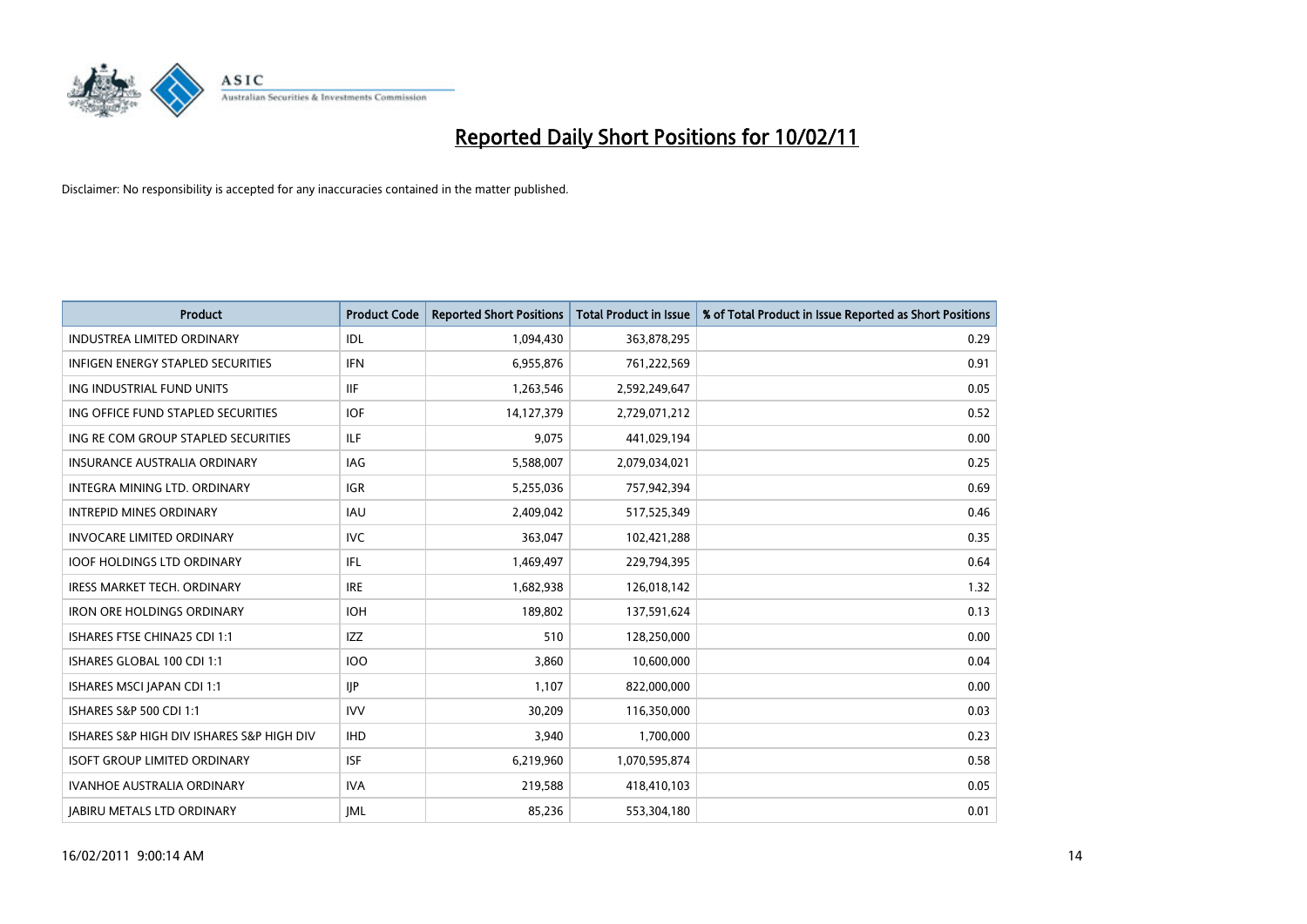

| <b>Product</b>                            | <b>Product Code</b> | <b>Reported Short Positions</b> | Total Product in Issue | % of Total Product in Issue Reported as Short Positions |
|-------------------------------------------|---------------------|---------------------------------|------------------------|---------------------------------------------------------|
| <b>INDUSTREA LIMITED ORDINARY</b>         | IDL                 | 1,094,430                       | 363,878,295            | 0.29                                                    |
| <b>INFIGEN ENERGY STAPLED SECURITIES</b>  | <b>IFN</b>          | 6,955,876                       | 761,222,569            | 0.91                                                    |
| ING INDUSTRIAL FUND UNITS                 | <b>IIF</b>          | 1,263,546                       | 2,592,249,647          | 0.05                                                    |
| ING OFFICE FUND STAPLED SECURITIES        | <b>IOF</b>          | 14,127,379                      | 2,729,071,212          | 0.52                                                    |
| ING RE COM GROUP STAPLED SECURITIES       | <b>ILF</b>          | 9,075                           | 441,029,194            | 0.00                                                    |
| <b>INSURANCE AUSTRALIA ORDINARY</b>       | IAG                 | 5,588,007                       | 2,079,034,021          | 0.25                                                    |
| INTEGRA MINING LTD, ORDINARY              | <b>IGR</b>          | 5,255,036                       | 757,942,394            | 0.69                                                    |
| <b>INTREPID MINES ORDINARY</b>            | <b>IAU</b>          | 2,409,042                       | 517,525,349            | 0.46                                                    |
| INVOCARE LIMITED ORDINARY                 | <b>IVC</b>          | 363,047                         | 102,421,288            | 0.35                                                    |
| <b>IOOF HOLDINGS LTD ORDINARY</b>         | IFL.                | 1,469,497                       | 229,794,395            | 0.64                                                    |
| IRESS MARKET TECH. ORDINARY               | <b>IRE</b>          | 1,682,938                       | 126,018,142            | 1.32                                                    |
| <b>IRON ORE HOLDINGS ORDINARY</b>         | <b>IOH</b>          | 189,802                         | 137,591,624            | 0.13                                                    |
| ISHARES FTSE CHINA25 CDI 1:1              | <b>IZZ</b>          | 510                             | 128,250,000            | 0.00                                                    |
| ISHARES GLOBAL 100 CDI 1:1                | 100                 | 3,860                           | 10,600,000             | 0.04                                                    |
| ISHARES MSCI JAPAN CDI 1:1                | <b>IIP</b>          | 1,107                           | 822,000,000            | 0.00                                                    |
| ISHARES S&P 500 CDI 1:1                   | <b>IVV</b>          | 30,209                          | 116,350,000            | 0.03                                                    |
| ISHARES S&P HIGH DIV ISHARES S&P HIGH DIV | <b>IHD</b>          | 3,940                           | 1,700,000              | 0.23                                                    |
| <b>ISOFT GROUP LIMITED ORDINARY</b>       | <b>ISF</b>          | 6,219,960                       | 1,070,595,874          | 0.58                                                    |
| <b>IVANHOE AUSTRALIA ORDINARY</b>         | <b>IVA</b>          | 219,588                         | 418,410,103            | 0.05                                                    |
| <b>JABIRU METALS LTD ORDINARY</b>         | <b>IML</b>          | 85,236                          | 553,304,180            | 0.01                                                    |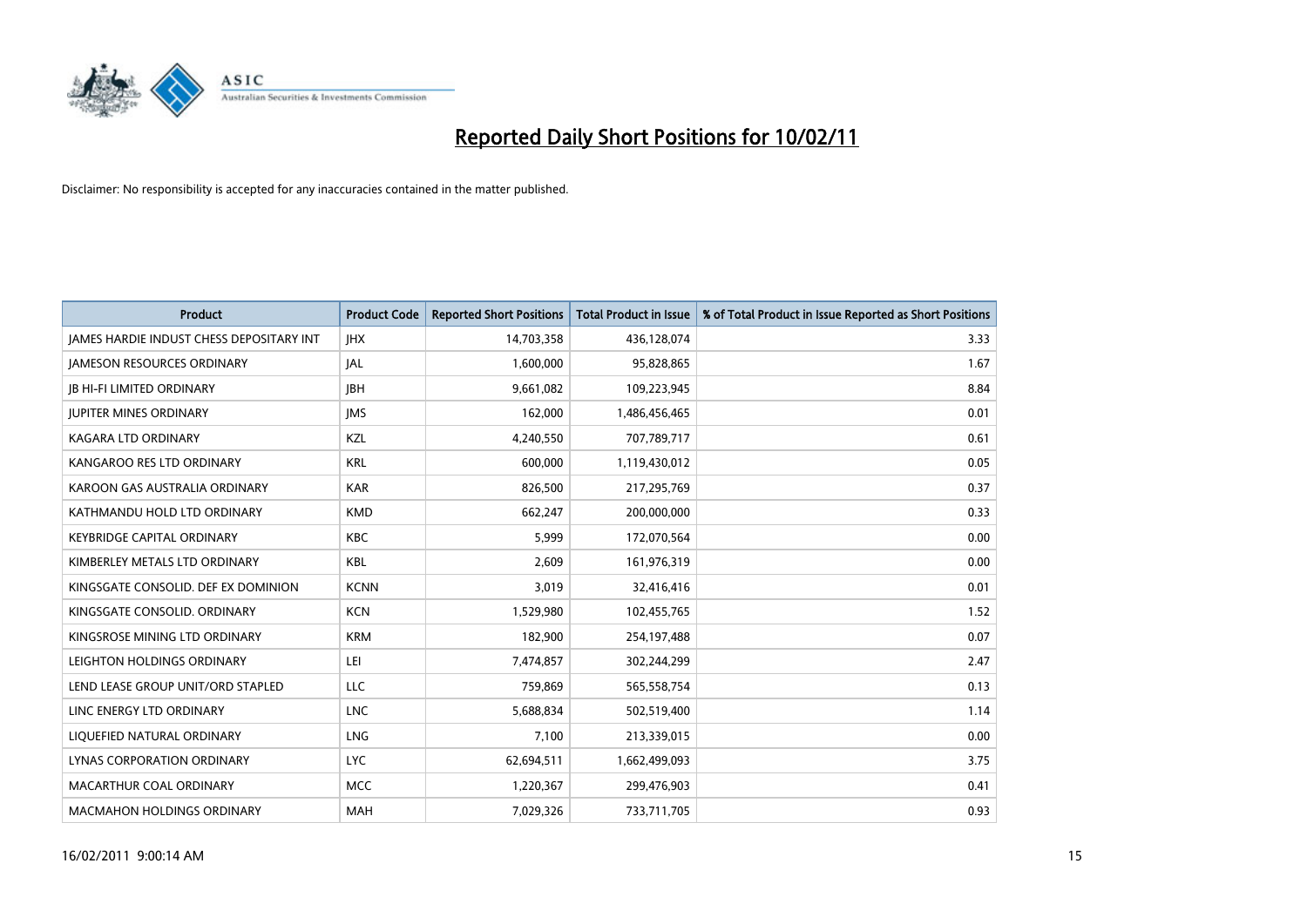

| <b>Product</b>                                  | <b>Product Code</b> | <b>Reported Short Positions</b> | <b>Total Product in Issue</b> | % of Total Product in Issue Reported as Short Positions |
|-------------------------------------------------|---------------------|---------------------------------|-------------------------------|---------------------------------------------------------|
| <b>JAMES HARDIE INDUST CHESS DEPOSITARY INT</b> | <b>JHX</b>          | 14,703,358                      | 436,128,074                   | 3.33                                                    |
| <b>JAMESON RESOURCES ORDINARY</b>               | <b>JAL</b>          | 1,600,000                       | 95,828,865                    | 1.67                                                    |
| <b>IB HI-FI LIMITED ORDINARY</b>                | <b>IBH</b>          | 9,661,082                       | 109,223,945                   | 8.84                                                    |
| <b>JUPITER MINES ORDINARY</b>                   | <b>IMS</b>          | 162,000                         | 1,486,456,465                 | 0.01                                                    |
| <b>KAGARA LTD ORDINARY</b>                      | KZL                 | 4,240,550                       | 707,789,717                   | 0.61                                                    |
| KANGAROO RES LTD ORDINARY                       | <b>KRL</b>          | 600,000                         | 1,119,430,012                 | 0.05                                                    |
| KAROON GAS AUSTRALIA ORDINARY                   | <b>KAR</b>          | 826,500                         | 217,295,769                   | 0.37                                                    |
| KATHMANDU HOLD LTD ORDINARY                     | <b>KMD</b>          | 662,247                         | 200,000,000                   | 0.33                                                    |
| KEYBRIDGE CAPITAL ORDINARY                      | KBC                 | 5,999                           | 172,070,564                   | 0.00                                                    |
| KIMBERLEY METALS LTD ORDINARY                   | KBL                 | 2,609                           | 161,976,319                   | 0.00                                                    |
| KINGSGATE CONSOLID. DEF EX DOMINION             | <b>KCNN</b>         | 3,019                           | 32,416,416                    | 0.01                                                    |
| KINGSGATE CONSOLID. ORDINARY                    | <b>KCN</b>          | 1,529,980                       | 102,455,765                   | 1.52                                                    |
| KINGSROSE MINING LTD ORDINARY                   | <b>KRM</b>          | 182,900                         | 254,197,488                   | 0.07                                                    |
| LEIGHTON HOLDINGS ORDINARY                      | LEI                 | 7,474,857                       | 302,244,299                   | 2.47                                                    |
| LEND LEASE GROUP UNIT/ORD STAPLED               | <b>LLC</b>          | 759,869                         | 565,558,754                   | 0.13                                                    |
| LINC ENERGY LTD ORDINARY                        | <b>LNC</b>          | 5,688,834                       | 502,519,400                   | 1.14                                                    |
| LIQUEFIED NATURAL ORDINARY                      | <b>LNG</b>          | 7,100                           | 213,339,015                   | 0.00                                                    |
| LYNAS CORPORATION ORDINARY                      | <b>LYC</b>          | 62,694,511                      | 1,662,499,093                 | 3.75                                                    |
| MACARTHUR COAL ORDINARY                         | <b>MCC</b>          | 1,220,367                       | 299,476,903                   | 0.41                                                    |
| <b>MACMAHON HOLDINGS ORDINARY</b>               | MAH                 | 7,029,326                       | 733,711,705                   | 0.93                                                    |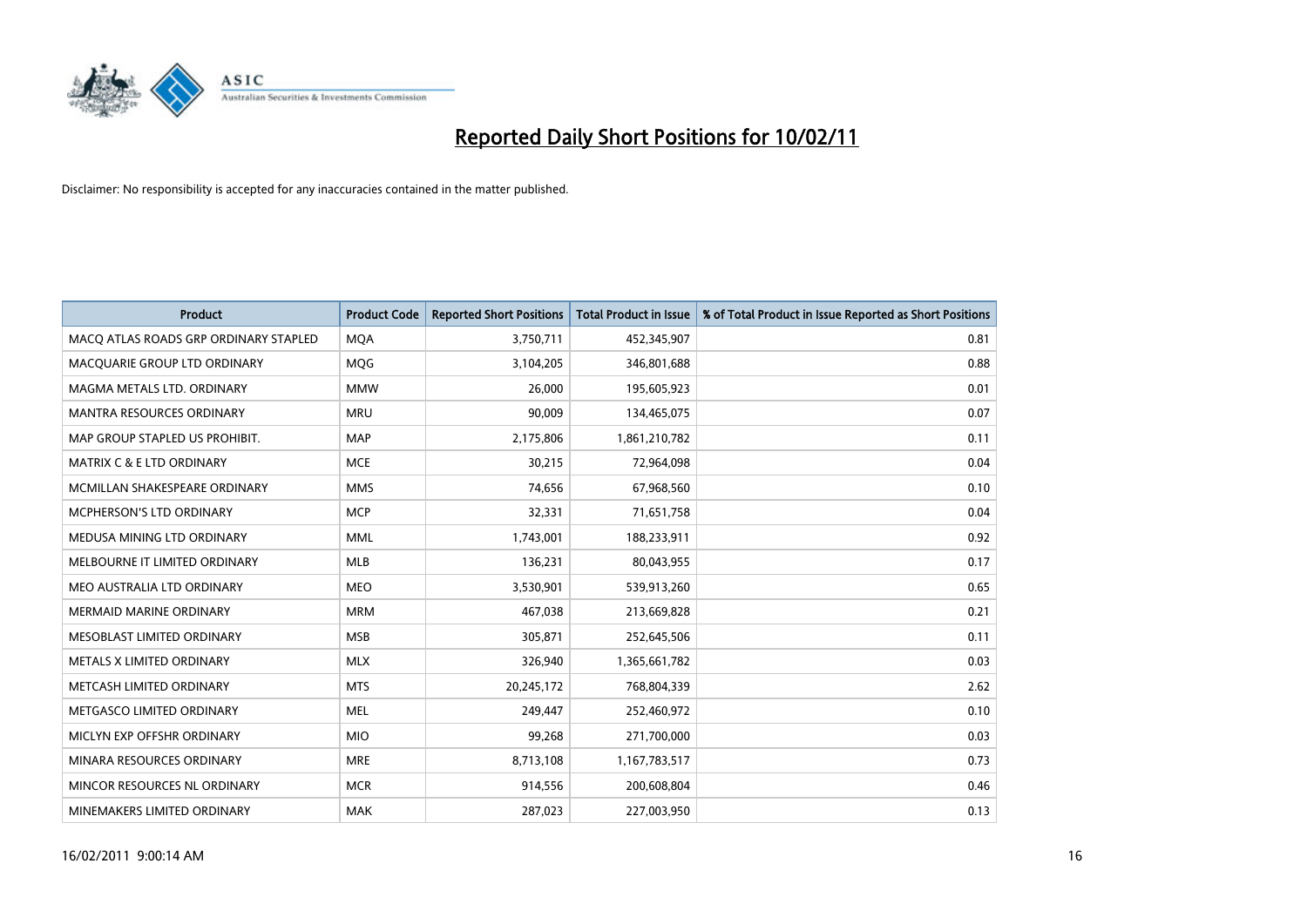

| Product                               | <b>Product Code</b> | <b>Reported Short Positions</b> | <b>Total Product in Issue</b> | % of Total Product in Issue Reported as Short Positions |
|---------------------------------------|---------------------|---------------------------------|-------------------------------|---------------------------------------------------------|
| MACO ATLAS ROADS GRP ORDINARY STAPLED | <b>MQA</b>          | 3,750,711                       | 452,345,907                   | 0.81                                                    |
| MACQUARIE GROUP LTD ORDINARY          | MQG                 | 3,104,205                       | 346,801,688                   | 0.88                                                    |
| MAGMA METALS LTD. ORDINARY            | <b>MMW</b>          | 26,000                          | 195,605,923                   | 0.01                                                    |
| MANTRA RESOURCES ORDINARY             | <b>MRU</b>          | 90,009                          | 134,465,075                   | 0.07                                                    |
| MAP GROUP STAPLED US PROHIBIT.        | <b>MAP</b>          | 2,175,806                       | 1,861,210,782                 | 0.11                                                    |
| <b>MATRIX C &amp; E LTD ORDINARY</b>  | <b>MCE</b>          | 30,215                          | 72,964,098                    | 0.04                                                    |
| MCMILLAN SHAKESPEARE ORDINARY         | <b>MMS</b>          | 74,656                          | 67,968,560                    | 0.10                                                    |
| MCPHERSON'S LTD ORDINARY              | <b>MCP</b>          | 32,331                          | 71,651,758                    | 0.04                                                    |
| MEDUSA MINING LTD ORDINARY            | <b>MML</b>          | 1,743,001                       | 188,233,911                   | 0.92                                                    |
| MELBOURNE IT LIMITED ORDINARY         | <b>MLB</b>          | 136,231                         | 80,043,955                    | 0.17                                                    |
| MEO AUSTRALIA LTD ORDINARY            | <b>MEO</b>          | 3,530,901                       | 539,913,260                   | 0.65                                                    |
| <b>MERMAID MARINE ORDINARY</b>        | <b>MRM</b>          | 467,038                         | 213,669,828                   | 0.21                                                    |
| MESOBLAST LIMITED ORDINARY            | <b>MSB</b>          | 305,871                         | 252,645,506                   | 0.11                                                    |
| METALS X LIMITED ORDINARY             | <b>MLX</b>          | 326,940                         | 1,365,661,782                 | 0.03                                                    |
| METCASH LIMITED ORDINARY              | <b>MTS</b>          | 20,245,172                      | 768,804,339                   | 2.62                                                    |
| METGASCO LIMITED ORDINARY             | <b>MEL</b>          | 249.447                         | 252,460,972                   | 0.10                                                    |
| MICLYN EXP OFFSHR ORDINARY            | <b>MIO</b>          | 99,268                          | 271,700,000                   | 0.03                                                    |
| MINARA RESOURCES ORDINARY             | <b>MRE</b>          | 8,713,108                       | 1,167,783,517                 | 0.73                                                    |
| MINCOR RESOURCES NL ORDINARY          | <b>MCR</b>          | 914,556                         | 200,608,804                   | 0.46                                                    |
| MINEMAKERS LIMITED ORDINARY           | <b>MAK</b>          | 287,023                         | 227,003,950                   | 0.13                                                    |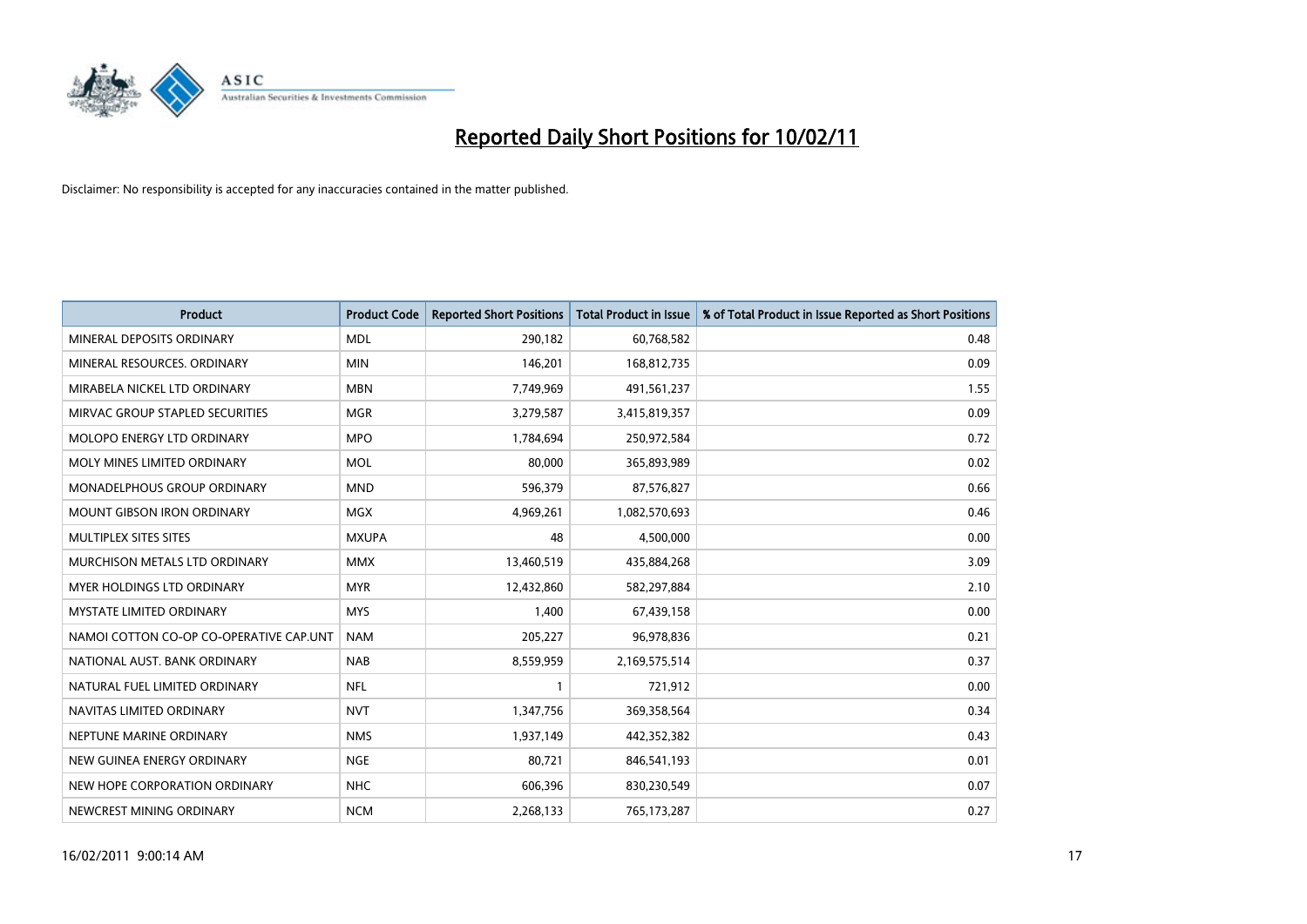

| <b>Product</b>                          | <b>Product Code</b> | <b>Reported Short Positions</b> | <b>Total Product in Issue</b> | % of Total Product in Issue Reported as Short Positions |
|-----------------------------------------|---------------------|---------------------------------|-------------------------------|---------------------------------------------------------|
| MINERAL DEPOSITS ORDINARY               | <b>MDL</b>          | 290,182                         | 60,768,582                    | 0.48                                                    |
| MINERAL RESOURCES. ORDINARY             | <b>MIN</b>          | 146,201                         | 168,812,735                   | 0.09                                                    |
| MIRABELA NICKEL LTD ORDINARY            | <b>MBN</b>          | 7,749,969                       | 491,561,237                   | 1.55                                                    |
| MIRVAC GROUP STAPLED SECURITIES         | <b>MGR</b>          | 3,279,587                       | 3,415,819,357                 | 0.09                                                    |
| MOLOPO ENERGY LTD ORDINARY              | <b>MPO</b>          | 1,784,694                       | 250,972,584                   | 0.72                                                    |
| MOLY MINES LIMITED ORDINARY             | <b>MOL</b>          | 80,000                          | 365,893,989                   | 0.02                                                    |
| MONADELPHOUS GROUP ORDINARY             | <b>MND</b>          | 596,379                         | 87,576,827                    | 0.66                                                    |
| <b>MOUNT GIBSON IRON ORDINARY</b>       | <b>MGX</b>          | 4,969,261                       | 1,082,570,693                 | 0.46                                                    |
| MULTIPLEX SITES SITES                   | <b>MXUPA</b>        | 48                              | 4,500,000                     | 0.00                                                    |
| MURCHISON METALS LTD ORDINARY           | <b>MMX</b>          | 13,460,519                      | 435,884,268                   | 3.09                                                    |
| MYER HOLDINGS LTD ORDINARY              | <b>MYR</b>          | 12,432,860                      | 582,297,884                   | 2.10                                                    |
| <b>MYSTATE LIMITED ORDINARY</b>         | <b>MYS</b>          | 1,400                           | 67,439,158                    | 0.00                                                    |
| NAMOI COTTON CO-OP CO-OPERATIVE CAP.UNT | <b>NAM</b>          | 205,227                         | 96,978,836                    | 0.21                                                    |
| NATIONAL AUST, BANK ORDINARY            | <b>NAB</b>          | 8,559,959                       | 2,169,575,514                 | 0.37                                                    |
| NATURAL FUEL LIMITED ORDINARY           | <b>NFL</b>          |                                 | 721,912                       | 0.00                                                    |
| NAVITAS LIMITED ORDINARY                | <b>NVT</b>          | 1,347,756                       | 369,358,564                   | 0.34                                                    |
| NEPTUNE MARINE ORDINARY                 | <b>NMS</b>          | 1,937,149                       | 442,352,382                   | 0.43                                                    |
| NEW GUINEA ENERGY ORDINARY              | <b>NGE</b>          | 80,721                          | 846,541,193                   | 0.01                                                    |
| NEW HOPE CORPORATION ORDINARY           | <b>NHC</b>          | 606,396                         | 830,230,549                   | 0.07                                                    |
| NEWCREST MINING ORDINARY                | <b>NCM</b>          | 2,268,133                       | 765,173,287                   | 0.27                                                    |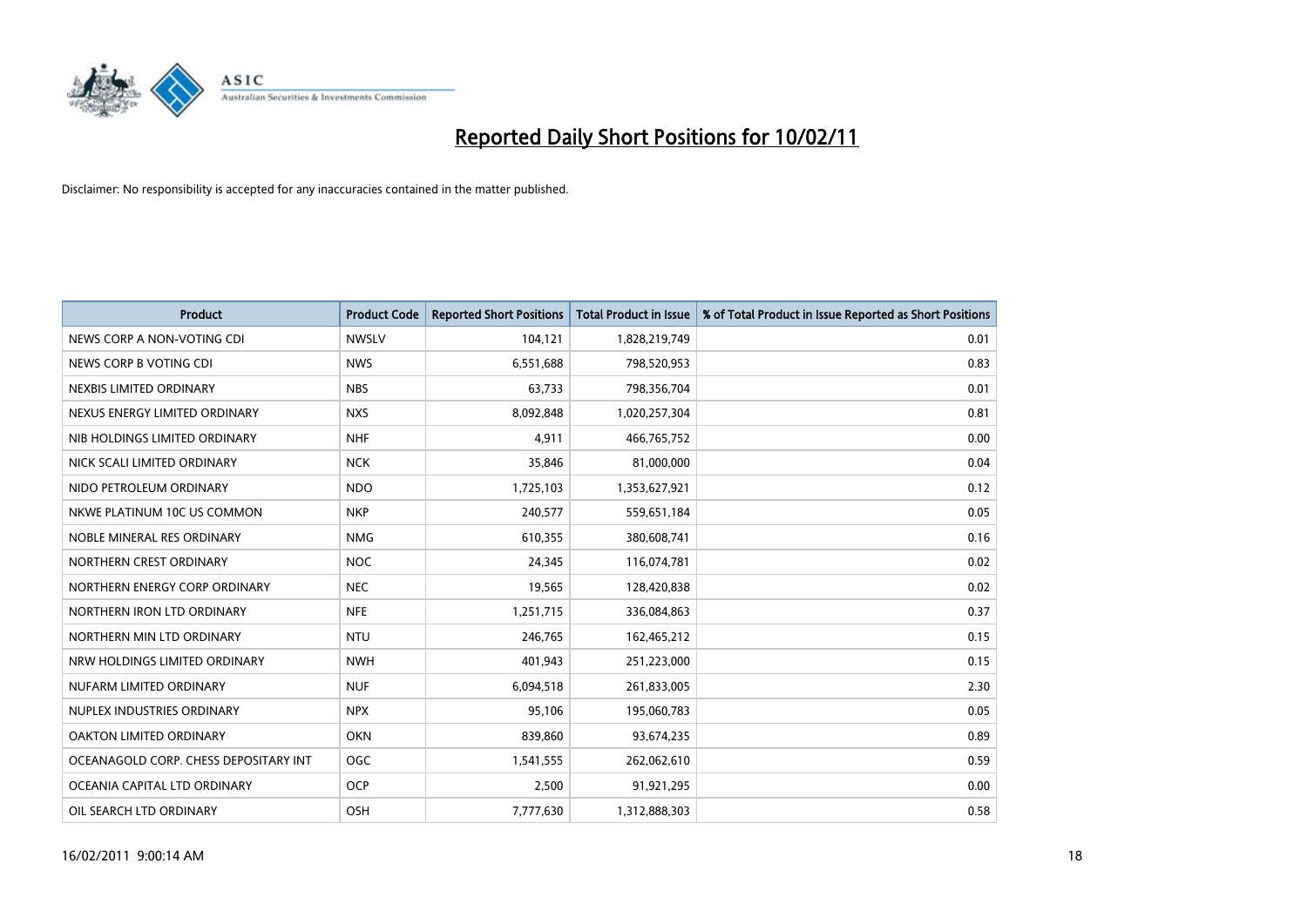

| Product                               | <b>Product Code</b> | <b>Reported Short Positions</b> | <b>Total Product in Issue</b> | % of Total Product in Issue Reported as Short Positions |
|---------------------------------------|---------------------|---------------------------------|-------------------------------|---------------------------------------------------------|
| NEWS CORP A NON-VOTING CDI            | <b>NWSLV</b>        | 104,121                         | 1,828,219,749                 | 0.01                                                    |
| NEWS CORP B VOTING CDI                | <b>NWS</b>          | 6,551,688                       | 798,520,953                   | 0.83                                                    |
| NEXBIS LIMITED ORDINARY               | <b>NBS</b>          | 63,733                          | 798,356,704                   | 0.01                                                    |
| NEXUS ENERGY LIMITED ORDINARY         | <b>NXS</b>          | 8,092,848                       | 1,020,257,304                 | 0.81                                                    |
| NIB HOLDINGS LIMITED ORDINARY         | <b>NHF</b>          | 4,911                           | 466,765,752                   | 0.00                                                    |
| NICK SCALI LIMITED ORDINARY           | <b>NCK</b>          | 35,846                          | 81,000,000                    | 0.04                                                    |
| NIDO PETROLEUM ORDINARY               | <b>NDO</b>          | 1,725,103                       | 1,353,627,921                 | 0.12                                                    |
| NKWE PLATINUM 10C US COMMON           | <b>NKP</b>          | 240,577                         | 559,651,184                   | 0.05                                                    |
| NOBLE MINERAL RES ORDINARY            | <b>NMG</b>          | 610,355                         | 380,608,741                   | 0.16                                                    |
| NORTHERN CREST ORDINARY               | <b>NOC</b>          | 24,345                          | 116,074,781                   | 0.02                                                    |
| NORTHERN ENERGY CORP ORDINARY         | <b>NEC</b>          | 19,565                          | 128,420,838                   | 0.02                                                    |
| NORTHERN IRON LTD ORDINARY            | <b>NFE</b>          | 1,251,715                       | 336,084,863                   | 0.37                                                    |
| NORTHERN MIN LTD ORDINARY             | <b>NTU</b>          | 246,765                         | 162,465,212                   | 0.15                                                    |
| NRW HOLDINGS LIMITED ORDINARY         | <b>NWH</b>          | 401,943                         | 251,223,000                   | 0.15                                                    |
| NUFARM LIMITED ORDINARY               | <b>NUF</b>          | 6,094,518                       | 261,833,005                   | 2.30                                                    |
| NUPLEX INDUSTRIES ORDINARY            | <b>NPX</b>          | 95,106                          | 195,060,783                   | 0.05                                                    |
| OAKTON LIMITED ORDINARY               | <b>OKN</b>          | 839,860                         | 93,674,235                    | 0.89                                                    |
| OCEANAGOLD CORP. CHESS DEPOSITARY INT | <b>OGC</b>          | 1,541,555                       | 262,062,610                   | 0.59                                                    |
| OCEANIA CAPITAL LTD ORDINARY          | <b>OCP</b>          | 2,500                           | 91,921,295                    | 0.00                                                    |
| OIL SEARCH LTD ORDINARY               | OSH                 | 7,777,630                       | 1,312,888,303                 | 0.58                                                    |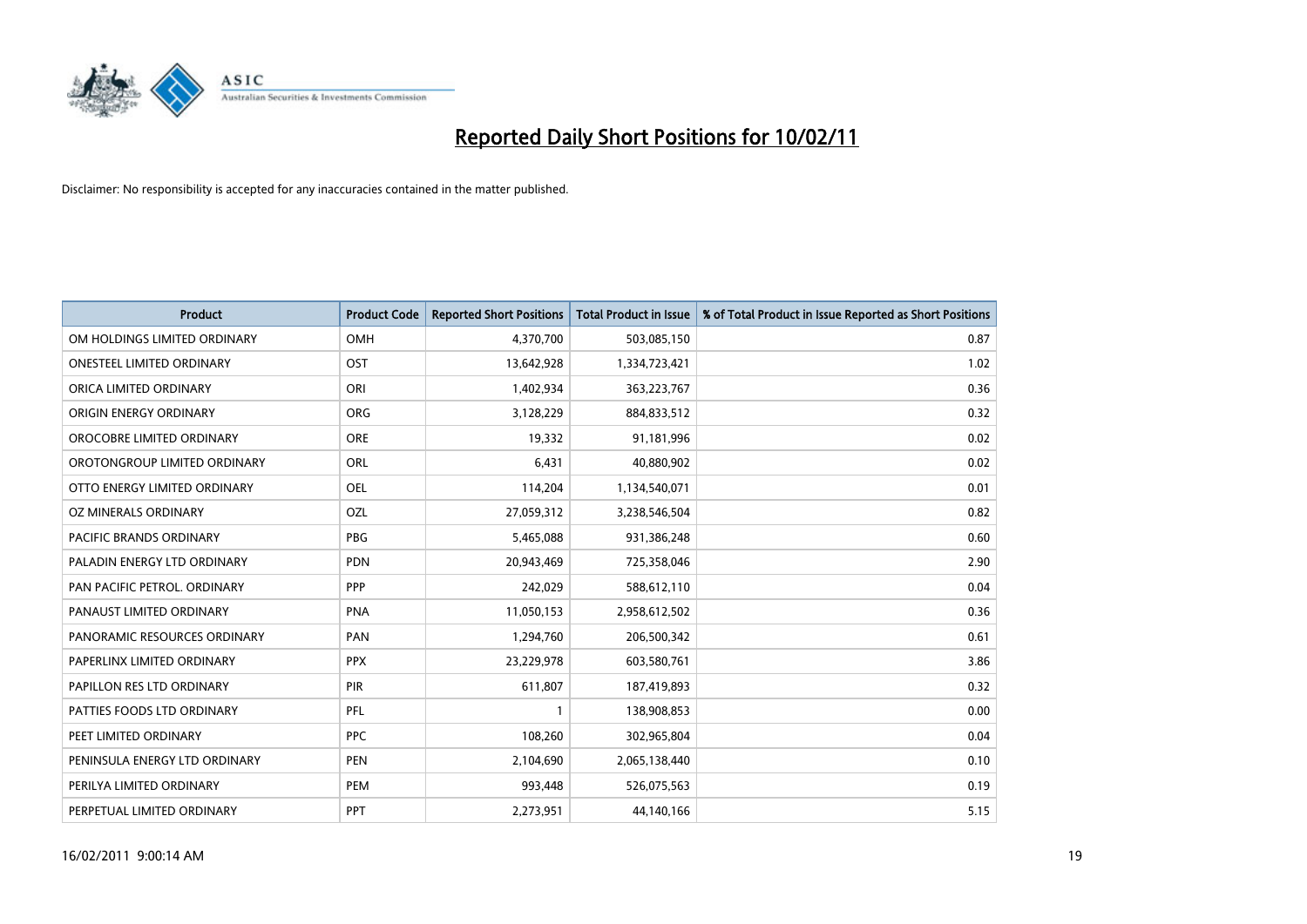

| Product                          | <b>Product Code</b> | <b>Reported Short Positions</b> | <b>Total Product in Issue</b> | % of Total Product in Issue Reported as Short Positions |
|----------------------------------|---------------------|---------------------------------|-------------------------------|---------------------------------------------------------|
| OM HOLDINGS LIMITED ORDINARY     | OMH                 | 4,370,700                       | 503,085,150                   | 0.87                                                    |
| <b>ONESTEEL LIMITED ORDINARY</b> | OST                 | 13,642,928                      | 1,334,723,421                 | 1.02                                                    |
| ORICA LIMITED ORDINARY           | ORI                 | 1,402,934                       | 363,223,767                   | 0.36                                                    |
| ORIGIN ENERGY ORDINARY           | <b>ORG</b>          | 3,128,229                       | 884,833,512                   | 0.32                                                    |
| OROCOBRE LIMITED ORDINARY        | <b>ORE</b>          | 19,332                          | 91,181,996                    | 0.02                                                    |
| OROTONGROUP LIMITED ORDINARY     | <b>ORL</b>          | 6,431                           | 40,880,902                    | 0.02                                                    |
| OTTO ENERGY LIMITED ORDINARY     | <b>OEL</b>          | 114,204                         | 1,134,540,071                 | 0.01                                                    |
| OZ MINERALS ORDINARY             | OZL                 | 27,059,312                      | 3,238,546,504                 | 0.82                                                    |
| <b>PACIFIC BRANDS ORDINARY</b>   | <b>PBG</b>          | 5,465,088                       | 931,386,248                   | 0.60                                                    |
| PALADIN ENERGY LTD ORDINARY      | <b>PDN</b>          | 20,943,469                      | 725,358,046                   | 2.90                                                    |
| PAN PACIFIC PETROL. ORDINARY     | PPP                 | 242,029                         | 588,612,110                   | 0.04                                                    |
| PANAUST LIMITED ORDINARY         | <b>PNA</b>          | 11,050,153                      | 2,958,612,502                 | 0.36                                                    |
| PANORAMIC RESOURCES ORDINARY     | PAN                 | 1,294,760                       | 206,500,342                   | 0.61                                                    |
| PAPERLINX LIMITED ORDINARY       | <b>PPX</b>          | 23,229,978                      | 603,580,761                   | 3.86                                                    |
| PAPILLON RES LTD ORDINARY        | PIR                 | 611,807                         | 187,419,893                   | 0.32                                                    |
| PATTIES FOODS LTD ORDINARY       | PFL                 |                                 | 138,908,853                   | 0.00                                                    |
| PEET LIMITED ORDINARY            | <b>PPC</b>          | 108,260                         | 302,965,804                   | 0.04                                                    |
| PENINSULA ENERGY LTD ORDINARY    | <b>PEN</b>          | 2,104,690                       | 2,065,138,440                 | 0.10                                                    |
| PERILYA LIMITED ORDINARY         | PEM                 | 993,448                         | 526,075,563                   | 0.19                                                    |
| PERPETUAL LIMITED ORDINARY       | PPT                 | 2,273,951                       | 44,140,166                    | 5.15                                                    |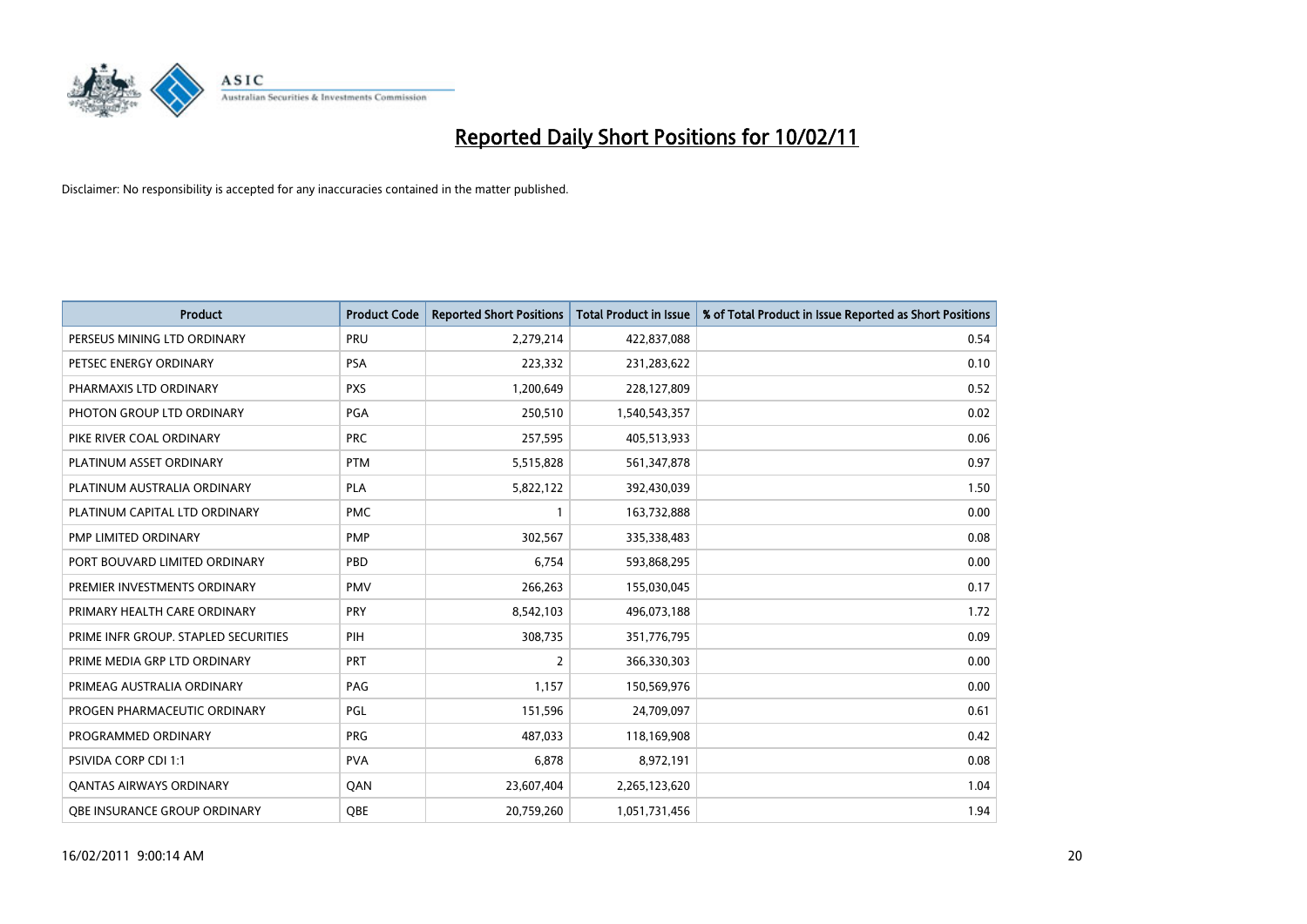

| <b>Product</b>                       | <b>Product Code</b> | <b>Reported Short Positions</b> | Total Product in Issue | % of Total Product in Issue Reported as Short Positions |
|--------------------------------------|---------------------|---------------------------------|------------------------|---------------------------------------------------------|
| PERSEUS MINING LTD ORDINARY          | PRU                 | 2,279,214                       | 422,837,088            | 0.54                                                    |
| PETSEC ENERGY ORDINARY               | <b>PSA</b>          | 223,332                         | 231,283,622            | 0.10                                                    |
| PHARMAXIS LTD ORDINARY               | <b>PXS</b>          | 1,200,649                       | 228,127,809            | 0.52                                                    |
| PHOTON GROUP LTD ORDINARY            | PGA                 | 250,510                         | 1,540,543,357          | 0.02                                                    |
| PIKE RIVER COAL ORDINARY             | <b>PRC</b>          | 257,595                         | 405,513,933            | 0.06                                                    |
| PLATINUM ASSET ORDINARY              | <b>PTM</b>          | 5,515,828                       | 561,347,878            | 0.97                                                    |
| PLATINUM AUSTRALIA ORDINARY          | <b>PLA</b>          | 5,822,122                       | 392,430,039            | 1.50                                                    |
| PLATINUM CAPITAL LTD ORDINARY        | <b>PMC</b>          |                                 | 163,732,888            | 0.00                                                    |
| PMP LIMITED ORDINARY                 | <b>PMP</b>          | 302,567                         | 335,338,483            | 0.08                                                    |
| PORT BOUVARD LIMITED ORDINARY        | PBD                 | 6.754                           | 593,868,295            | 0.00                                                    |
| PREMIER INVESTMENTS ORDINARY         | <b>PMV</b>          | 266,263                         | 155,030,045            | 0.17                                                    |
| PRIMARY HEALTH CARE ORDINARY         | <b>PRY</b>          | 8,542,103                       | 496,073,188            | 1.72                                                    |
| PRIME INFR GROUP. STAPLED SECURITIES | PIH                 | 308,735                         | 351,776,795            | 0.09                                                    |
| PRIME MEDIA GRP LTD ORDINARY         | PRT                 | $\overline{2}$                  | 366,330,303            | 0.00                                                    |
| PRIMEAG AUSTRALIA ORDINARY           | PAG                 | 1,157                           | 150,569,976            | 0.00                                                    |
| PROGEN PHARMACEUTIC ORDINARY         | PGL                 | 151,596                         | 24,709,097             | 0.61                                                    |
| PROGRAMMED ORDINARY                  | <b>PRG</b>          | 487,033                         | 118,169,908            | 0.42                                                    |
| PSIVIDA CORP CDI 1:1                 | <b>PVA</b>          | 6,878                           | 8,972,191              | 0.08                                                    |
| OANTAS AIRWAYS ORDINARY              | QAN                 | 23,607,404                      | 2,265,123,620          | 1.04                                                    |
| OBE INSURANCE GROUP ORDINARY         | <b>OBE</b>          | 20.759.260                      | 1,051,731,456          | 1.94                                                    |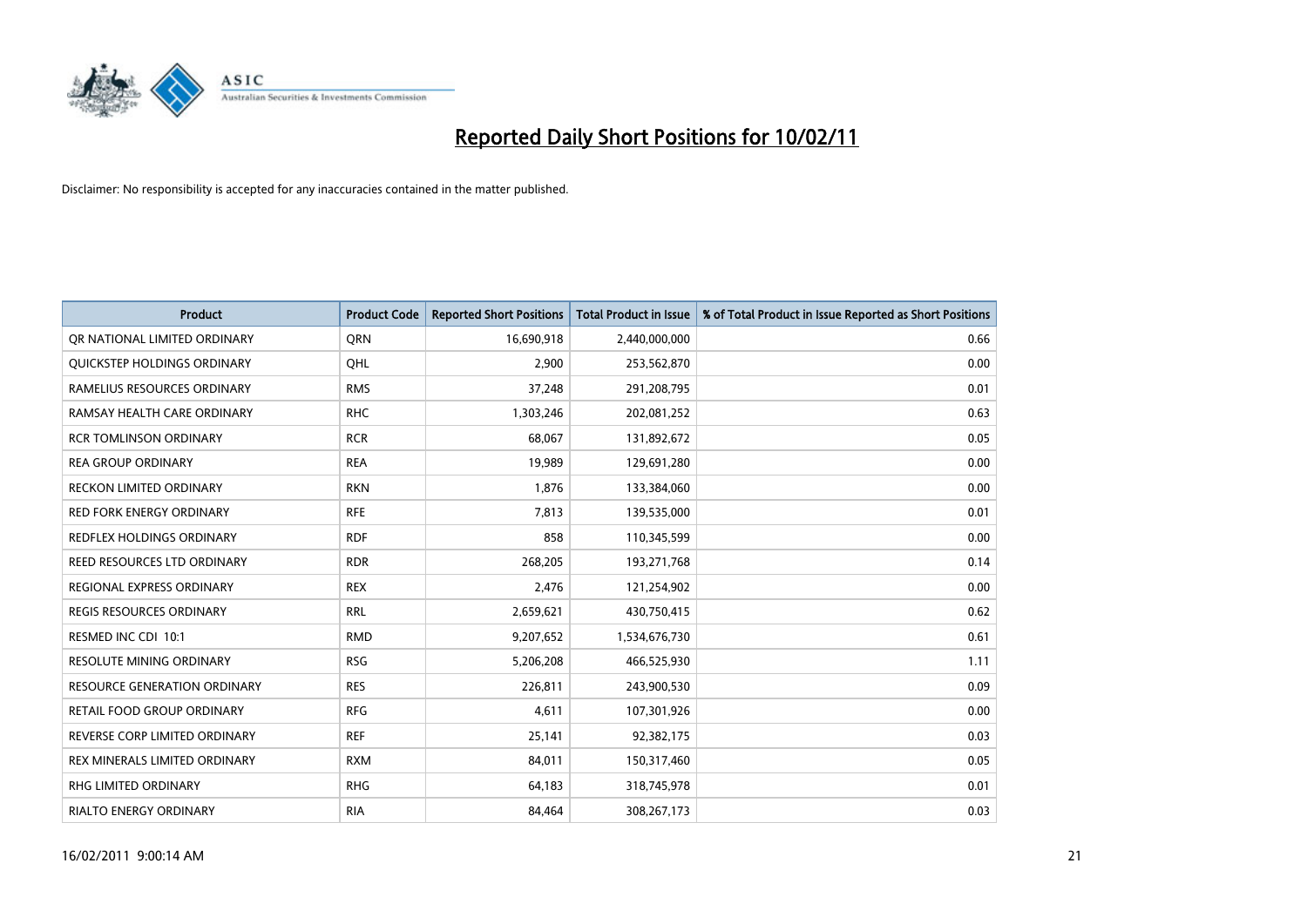

| Product                             | <b>Product Code</b> | <b>Reported Short Positions</b> | Total Product in Issue | % of Total Product in Issue Reported as Short Positions |
|-------------------------------------|---------------------|---------------------------------|------------------------|---------------------------------------------------------|
| OR NATIONAL LIMITED ORDINARY        | <b>ORN</b>          | 16,690,918                      | 2,440,000,000          | 0.66                                                    |
| QUICKSTEP HOLDINGS ORDINARY         | OHL                 | 2,900                           | 253,562,870            | 0.00                                                    |
| RAMELIUS RESOURCES ORDINARY         | <b>RMS</b>          | 37,248                          | 291,208,795            | 0.01                                                    |
| RAMSAY HEALTH CARE ORDINARY         | <b>RHC</b>          | 1,303,246                       | 202,081,252            | 0.63                                                    |
| <b>RCR TOMLINSON ORDINARY</b>       | <b>RCR</b>          | 68,067                          | 131,892,672            | 0.05                                                    |
| <b>REA GROUP ORDINARY</b>           | <b>REA</b>          | 19,989                          | 129,691,280            | 0.00                                                    |
| <b>RECKON LIMITED ORDINARY</b>      | <b>RKN</b>          | 1,876                           | 133,384,060            | 0.00                                                    |
| <b>RED FORK ENERGY ORDINARY</b>     | <b>RFE</b>          | 7,813                           | 139,535,000            | 0.01                                                    |
| REDFLEX HOLDINGS ORDINARY           | <b>RDF</b>          | 858                             | 110,345,599            | 0.00                                                    |
| <b>REED RESOURCES LTD ORDINARY</b>  | <b>RDR</b>          | 268,205                         | 193,271,768            | 0.14                                                    |
| REGIONAL EXPRESS ORDINARY           | <b>REX</b>          | 2,476                           | 121,254,902            | 0.00                                                    |
| <b>REGIS RESOURCES ORDINARY</b>     | <b>RRL</b>          | 2,659,621                       | 430,750,415            | 0.62                                                    |
| RESMED INC CDI 10:1                 | <b>RMD</b>          | 9,207,652                       | 1,534,676,730          | 0.61                                                    |
| <b>RESOLUTE MINING ORDINARY</b>     | <b>RSG</b>          | 5,206,208                       | 466,525,930            | 1.11                                                    |
| <b>RESOURCE GENERATION ORDINARY</b> | <b>RES</b>          | 226,811                         | 243,900,530            | 0.09                                                    |
| <b>RETAIL FOOD GROUP ORDINARY</b>   | <b>RFG</b>          | 4,611                           | 107,301,926            | 0.00                                                    |
| REVERSE CORP LIMITED ORDINARY       | <b>REF</b>          | 25,141                          | 92,382,175             | 0.03                                                    |
| REX MINERALS LIMITED ORDINARY       | <b>RXM</b>          | 84,011                          | 150,317,460            | 0.05                                                    |
| <b>RHG LIMITED ORDINARY</b>         | <b>RHG</b>          | 64,183                          | 318,745,978            | 0.01                                                    |
| RIALTO ENERGY ORDINARY              | <b>RIA</b>          | 84,464                          | 308,267,173            | 0.03                                                    |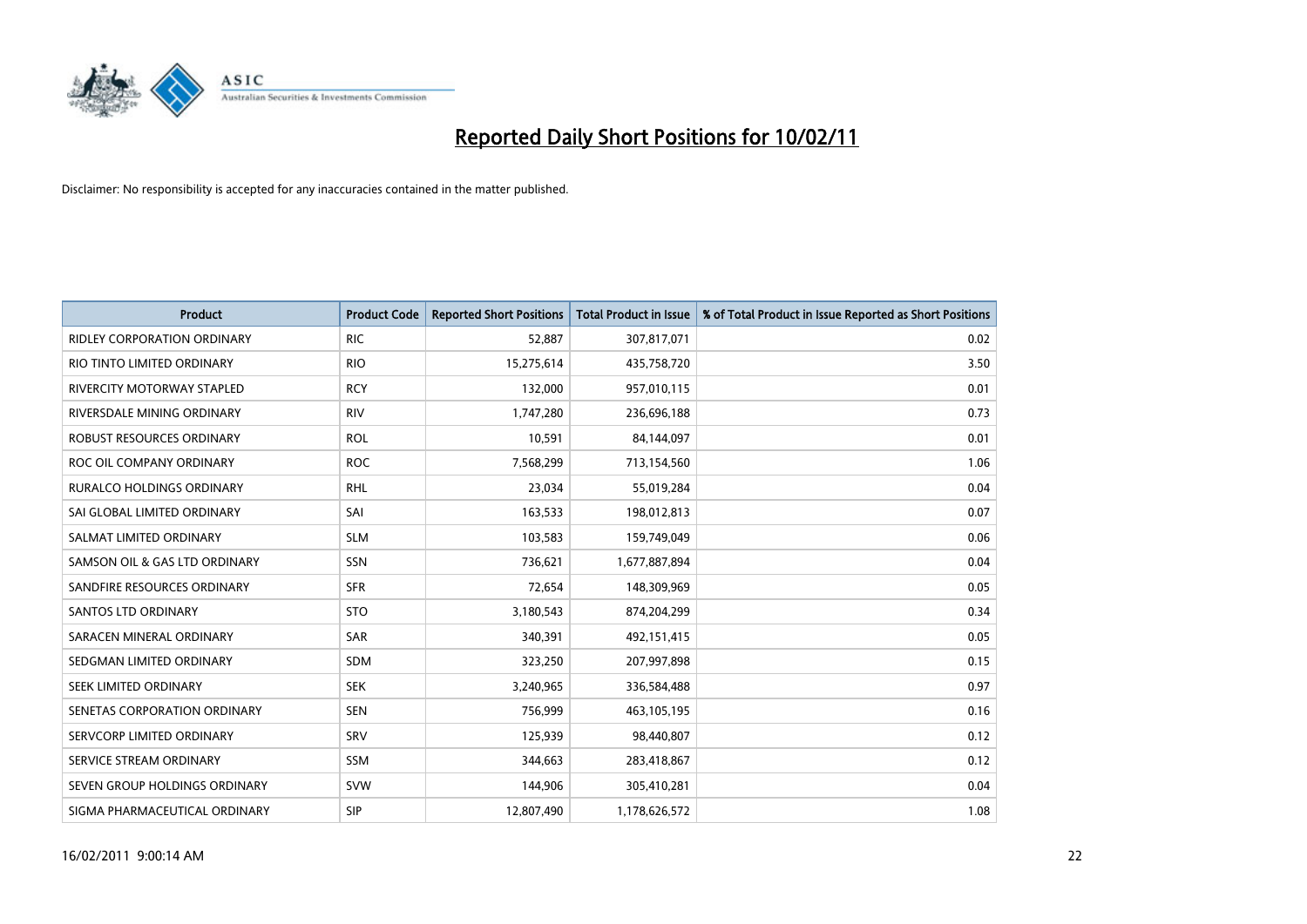

| <b>Product</b>                     | <b>Product Code</b> | <b>Reported Short Positions</b> | <b>Total Product in Issue</b> | % of Total Product in Issue Reported as Short Positions |
|------------------------------------|---------------------|---------------------------------|-------------------------------|---------------------------------------------------------|
| <b>RIDLEY CORPORATION ORDINARY</b> | <b>RIC</b>          | 52,887                          | 307,817,071                   | 0.02                                                    |
| RIO TINTO LIMITED ORDINARY         | <b>RIO</b>          | 15,275,614                      | 435,758,720                   | 3.50                                                    |
| RIVERCITY MOTORWAY STAPLED         | <b>RCY</b>          | 132,000                         | 957,010,115                   | 0.01                                                    |
| RIVERSDALE MINING ORDINARY         | <b>RIV</b>          | 1,747,280                       | 236,696,188                   | 0.73                                                    |
| ROBUST RESOURCES ORDINARY          | <b>ROL</b>          | 10,591                          | 84,144,097                    | 0.01                                                    |
| ROC OIL COMPANY ORDINARY           | <b>ROC</b>          | 7,568,299                       | 713,154,560                   | 1.06                                                    |
| <b>RURALCO HOLDINGS ORDINARY</b>   | <b>RHL</b>          | 23.034                          | 55,019,284                    | 0.04                                                    |
| SAI GLOBAL LIMITED ORDINARY        | SAI                 | 163,533                         | 198,012,813                   | 0.07                                                    |
| SALMAT LIMITED ORDINARY            | <b>SLM</b>          | 103,583                         | 159,749,049                   | 0.06                                                    |
| SAMSON OIL & GAS LTD ORDINARY      | SSN                 | 736,621                         | 1,677,887,894                 | 0.04                                                    |
| SANDFIRE RESOURCES ORDINARY        | <b>SFR</b>          | 72,654                          | 148,309,969                   | 0.05                                                    |
| <b>SANTOS LTD ORDINARY</b>         | <b>STO</b>          | 3,180,543                       | 874,204,299                   | 0.34                                                    |
| SARACEN MINERAL ORDINARY           | SAR                 | 340,391                         | 492,151,415                   | 0.05                                                    |
| SEDGMAN LIMITED ORDINARY           | <b>SDM</b>          | 323,250                         | 207,997,898                   | 0.15                                                    |
| SEEK LIMITED ORDINARY              | <b>SEK</b>          | 3,240,965                       | 336,584,488                   | 0.97                                                    |
| SENETAS CORPORATION ORDINARY       | <b>SEN</b>          | 756,999                         | 463,105,195                   | 0.16                                                    |
| SERVCORP LIMITED ORDINARY          | SRV                 | 125,939                         | 98,440,807                    | 0.12                                                    |
| SERVICE STREAM ORDINARY            | <b>SSM</b>          | 344,663                         | 283,418,867                   | 0.12                                                    |
| SEVEN GROUP HOLDINGS ORDINARY      | <b>SVW</b>          | 144,906                         | 305,410,281                   | 0.04                                                    |
| SIGMA PHARMACEUTICAL ORDINARY      | <b>SIP</b>          | 12,807,490                      | 1,178,626,572                 | 1.08                                                    |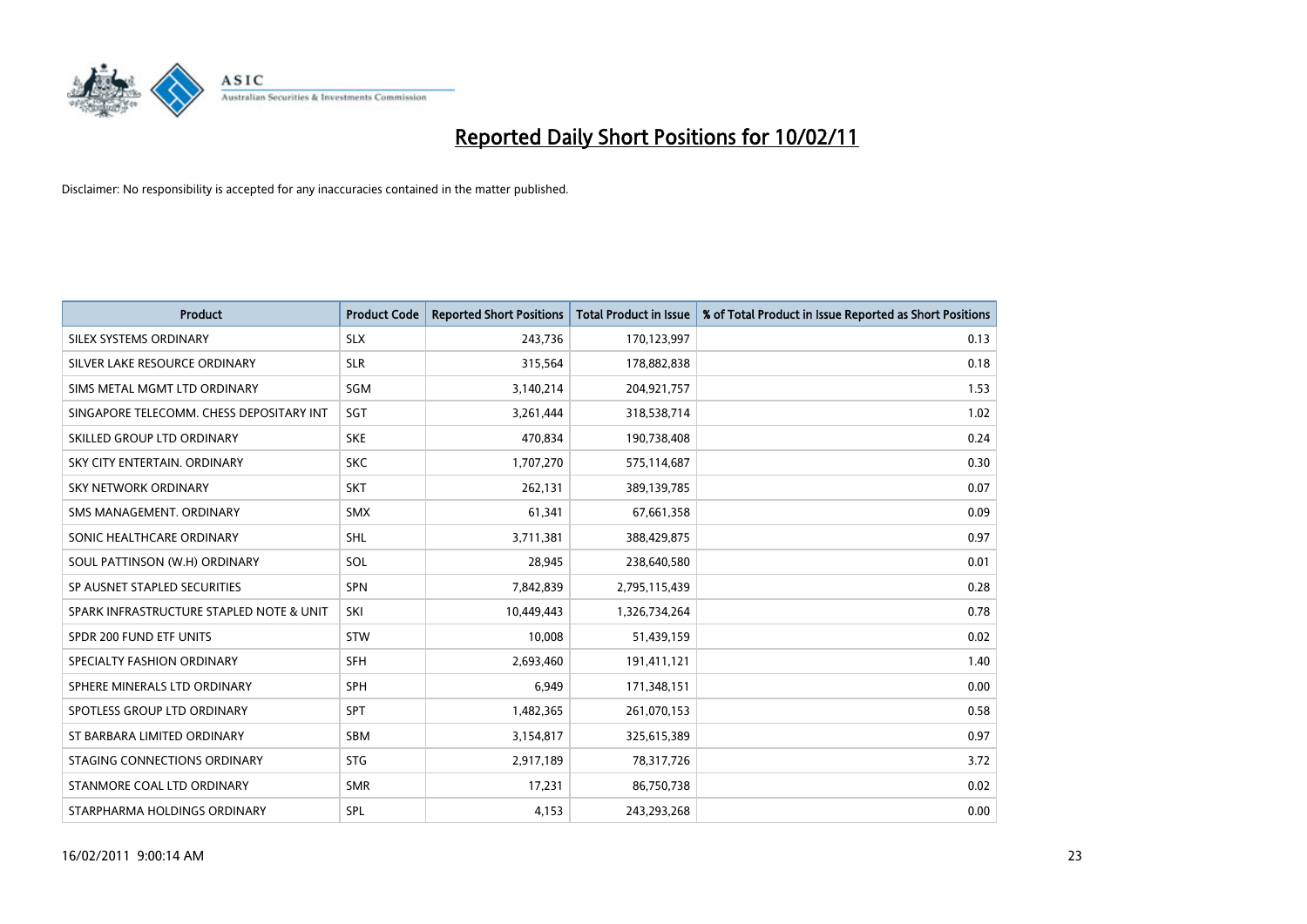

| Product                                  | <b>Product Code</b> | <b>Reported Short Positions</b> | <b>Total Product in Issue</b> | % of Total Product in Issue Reported as Short Positions |
|------------------------------------------|---------------------|---------------------------------|-------------------------------|---------------------------------------------------------|
| SILEX SYSTEMS ORDINARY                   | <b>SLX</b>          | 243,736                         | 170,123,997                   | 0.13                                                    |
| SILVER LAKE RESOURCE ORDINARY            | <b>SLR</b>          | 315,564                         | 178,882,838                   | 0.18                                                    |
| SIMS METAL MGMT LTD ORDINARY             | <b>SGM</b>          | 3,140,214                       | 204,921,757                   | 1.53                                                    |
| SINGAPORE TELECOMM. CHESS DEPOSITARY INT | SGT                 | 3,261,444                       | 318,538,714                   | 1.02                                                    |
| SKILLED GROUP LTD ORDINARY               | <b>SKE</b>          | 470.834                         | 190,738,408                   | 0.24                                                    |
| SKY CITY ENTERTAIN, ORDINARY             | <b>SKC</b>          | 1,707,270                       | 575,114,687                   | 0.30                                                    |
| <b>SKY NETWORK ORDINARY</b>              | <b>SKT</b>          | 262,131                         | 389,139,785                   | 0.07                                                    |
| SMS MANAGEMENT, ORDINARY                 | <b>SMX</b>          | 61,341                          | 67,661,358                    | 0.09                                                    |
| SONIC HEALTHCARE ORDINARY                | <b>SHL</b>          | 3,711,381                       | 388,429,875                   | 0.97                                                    |
| SOUL PATTINSON (W.H) ORDINARY            | SOL                 | 28.945                          | 238,640,580                   | 0.01                                                    |
| SP AUSNET STAPLED SECURITIES             | <b>SPN</b>          | 7,842,839                       | 2,795,115,439                 | 0.28                                                    |
| SPARK INFRASTRUCTURE STAPLED NOTE & UNIT | SKI                 | 10,449,443                      | 1,326,734,264                 | 0.78                                                    |
| SPDR 200 FUND ETF UNITS                  | <b>STW</b>          | 10,008                          | 51,439,159                    | 0.02                                                    |
| SPECIALTY FASHION ORDINARY               | <b>SFH</b>          | 2,693,460                       | 191,411,121                   | 1.40                                                    |
| SPHERE MINERALS LTD ORDINARY             | <b>SPH</b>          | 6,949                           | 171,348,151                   | 0.00                                                    |
| SPOTLESS GROUP LTD ORDINARY              | SPT                 | 1,482,365                       | 261,070,153                   | 0.58                                                    |
| ST BARBARA LIMITED ORDINARY              | <b>SBM</b>          | 3,154,817                       | 325,615,389                   | 0.97                                                    |
| STAGING CONNECTIONS ORDINARY             | <b>STG</b>          | 2,917,189                       | 78,317,726                    | 3.72                                                    |
| STANMORE COAL LTD ORDINARY               | <b>SMR</b>          | 17,231                          | 86,750,738                    | 0.02                                                    |
| STARPHARMA HOLDINGS ORDINARY             | SPL                 | 4,153                           | 243,293,268                   | 0.00                                                    |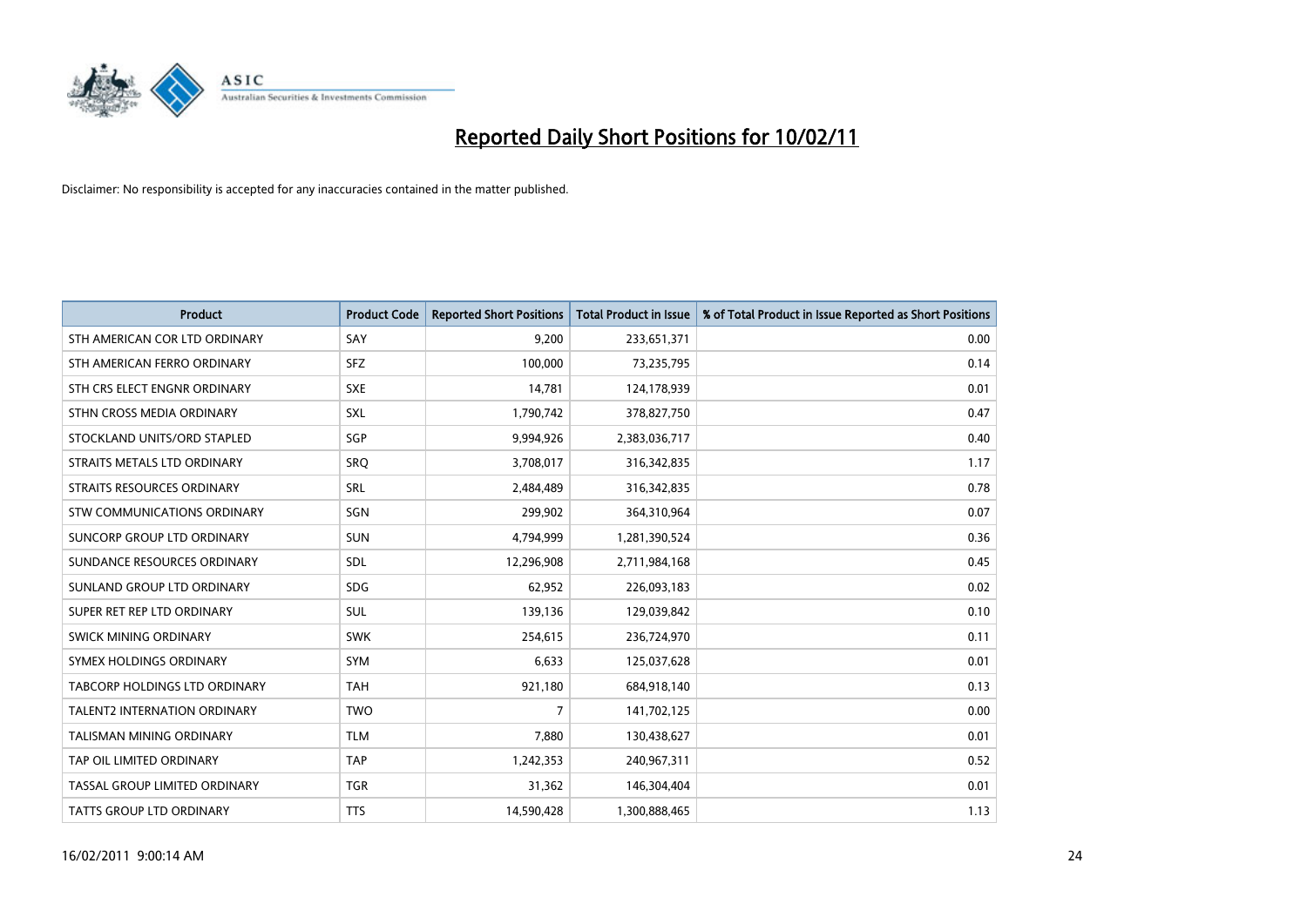

| <b>Product</b>                      | <b>Product Code</b> | <b>Reported Short Positions</b> | Total Product in Issue | % of Total Product in Issue Reported as Short Positions |
|-------------------------------------|---------------------|---------------------------------|------------------------|---------------------------------------------------------|
| STH AMERICAN COR LTD ORDINARY       | SAY                 | 9,200                           | 233,651,371            | 0.00                                                    |
| STH AMERICAN FERRO ORDINARY         | <b>SFZ</b>          | 100,000                         | 73,235,795             | 0.14                                                    |
| STH CRS ELECT ENGNR ORDINARY        | <b>SXE</b>          | 14,781                          | 124,178,939            | 0.01                                                    |
| STHN CROSS MEDIA ORDINARY           | SXL                 | 1,790,742                       | 378,827,750            | 0.47                                                    |
| STOCKLAND UNITS/ORD STAPLED         | SGP                 | 9,994,926                       | 2,383,036,717          | 0.40                                                    |
| STRAITS METALS LTD ORDINARY         | SRQ                 | 3,708,017                       | 316,342,835            | 1.17                                                    |
| STRAITS RESOURCES ORDINARY          | <b>SRL</b>          | 2,484,489                       | 316, 342, 835          | 0.78                                                    |
| STW COMMUNICATIONS ORDINARY         | SGN                 | 299,902                         | 364,310,964            | 0.07                                                    |
| SUNCORP GROUP LTD ORDINARY          | <b>SUN</b>          | 4,794,999                       | 1,281,390,524          | 0.36                                                    |
| SUNDANCE RESOURCES ORDINARY         | SDL                 | 12,296,908                      | 2,711,984,168          | 0.45                                                    |
| SUNLAND GROUP LTD ORDINARY          | <b>SDG</b>          | 62,952                          | 226,093,183            | 0.02                                                    |
| SUPER RET REP LTD ORDINARY          | <b>SUL</b>          | 139,136                         | 129,039,842            | 0.10                                                    |
| SWICK MINING ORDINARY               | <b>SWK</b>          | 254,615                         | 236,724,970            | 0.11                                                    |
| SYMEX HOLDINGS ORDINARY             | <b>SYM</b>          | 6,633                           | 125,037,628            | 0.01                                                    |
| TABCORP HOLDINGS LTD ORDINARY       | <b>TAH</b>          | 921,180                         | 684,918,140            | 0.13                                                    |
| <b>TALENT2 INTERNATION ORDINARY</b> | <b>TWO</b>          | 7                               | 141,702,125            | 0.00                                                    |
| <b>TALISMAN MINING ORDINARY</b>     | <b>TLM</b>          | 7,880                           | 130,438,627            | 0.01                                                    |
| TAP OIL LIMITED ORDINARY            | <b>TAP</b>          | 1,242,353                       | 240,967,311            | 0.52                                                    |
| TASSAL GROUP LIMITED ORDINARY       | <b>TGR</b>          | 31,362                          | 146,304,404            | 0.01                                                    |
| <b>TATTS GROUP LTD ORDINARY</b>     | <b>TTS</b>          | 14,590,428                      | 1,300,888,465          | 1.13                                                    |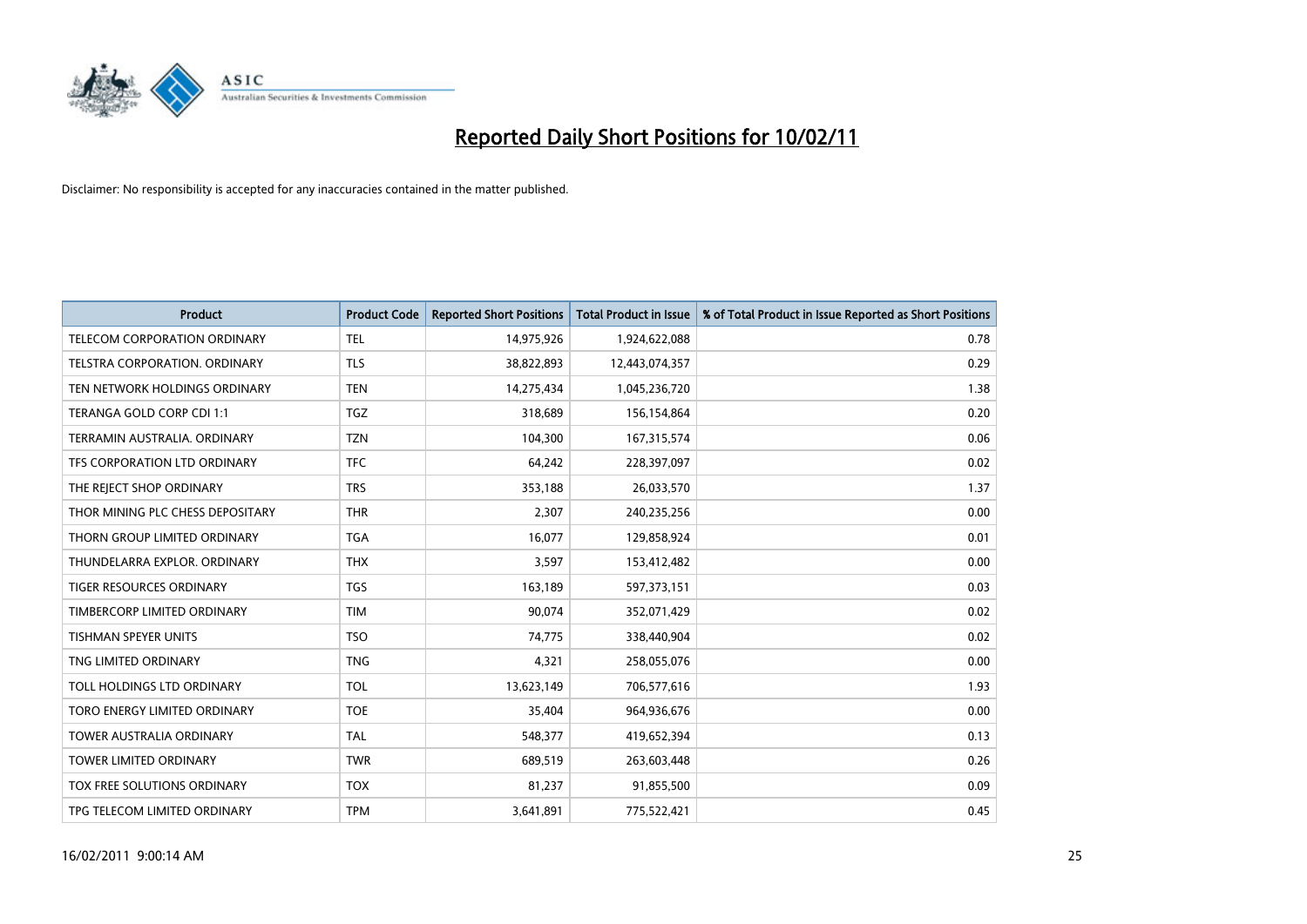

| <b>Product</b>                   | <b>Product Code</b> | <b>Reported Short Positions</b> | <b>Total Product in Issue</b> | % of Total Product in Issue Reported as Short Positions |
|----------------------------------|---------------------|---------------------------------|-------------------------------|---------------------------------------------------------|
| TELECOM CORPORATION ORDINARY     | <b>TEL</b>          | 14,975,926                      | 1,924,622,088                 | 0.78                                                    |
| TELSTRA CORPORATION. ORDINARY    | <b>TLS</b>          | 38,822,893                      | 12,443,074,357                | 0.29                                                    |
| TEN NETWORK HOLDINGS ORDINARY    | <b>TEN</b>          | 14,275,434                      | 1,045,236,720                 | 1.38                                                    |
| TERANGA GOLD CORP CDI 1:1        | <b>TGZ</b>          | 318,689                         | 156,154,864                   | 0.20                                                    |
| TERRAMIN AUSTRALIA, ORDINARY     | <b>TZN</b>          | 104,300                         | 167,315,574                   | 0.06                                                    |
| TFS CORPORATION LTD ORDINARY     | <b>TFC</b>          | 64.242                          | 228,397,097                   | 0.02                                                    |
| THE REJECT SHOP ORDINARY         | <b>TRS</b>          | 353,188                         | 26,033,570                    | 1.37                                                    |
| THOR MINING PLC CHESS DEPOSITARY | <b>THR</b>          | 2,307                           | 240,235,256                   | 0.00                                                    |
| THORN GROUP LIMITED ORDINARY     | <b>TGA</b>          | 16,077                          | 129,858,924                   | 0.01                                                    |
| THUNDELARRA EXPLOR, ORDINARY     | <b>THX</b>          | 3,597                           | 153,412,482                   | 0.00                                                    |
| TIGER RESOURCES ORDINARY         | <b>TGS</b>          | 163,189                         | 597,373,151                   | 0.03                                                    |
| TIMBERCORP LIMITED ORDINARY      | <b>TIM</b>          | 90,074                          | 352,071,429                   | 0.02                                                    |
| <b>TISHMAN SPEYER UNITS</b>      | <b>TSO</b>          | 74,775                          | 338,440,904                   | 0.02                                                    |
| TNG LIMITED ORDINARY             | <b>TNG</b>          | 4,321                           | 258,055,076                   | 0.00                                                    |
| TOLL HOLDINGS LTD ORDINARY       | <b>TOL</b>          | 13,623,149                      | 706,577,616                   | 1.93                                                    |
| TORO ENERGY LIMITED ORDINARY     | <b>TOE</b>          | 35,404                          | 964,936,676                   | 0.00                                                    |
| <b>TOWER AUSTRALIA ORDINARY</b>  | <b>TAL</b>          | 548,377                         | 419,652,394                   | 0.13                                                    |
| TOWER LIMITED ORDINARY           | <b>TWR</b>          | 689,519                         | 263,603,448                   | 0.26                                                    |
| TOX FREE SOLUTIONS ORDINARY      | <b>TOX</b>          | 81,237                          | 91,855,500                    | 0.09                                                    |
| TPG TELECOM LIMITED ORDINARY     | <b>TPM</b>          | 3,641,891                       | 775,522,421                   | 0.45                                                    |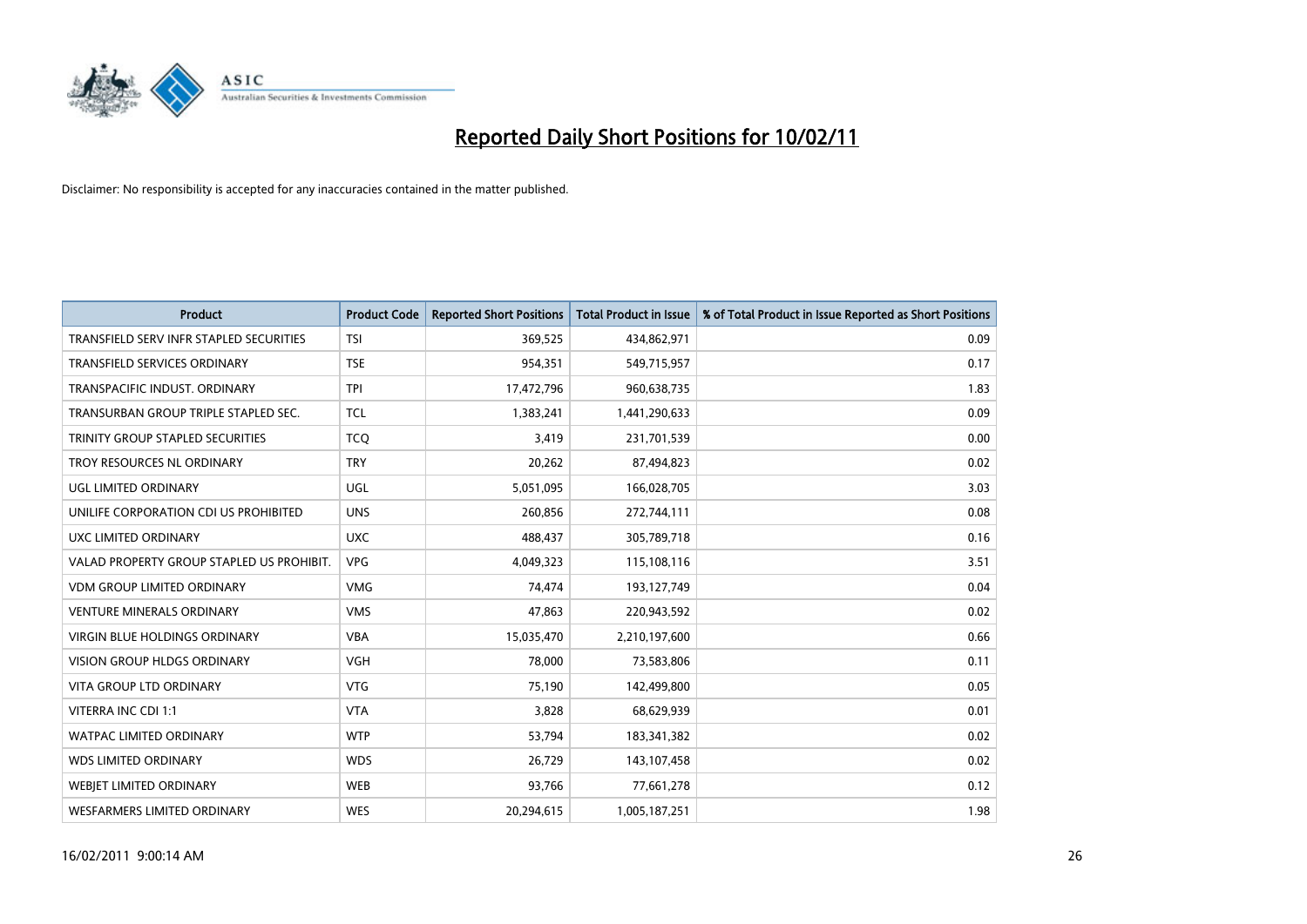

| <b>Product</b>                            | <b>Product Code</b> | <b>Reported Short Positions</b> | Total Product in Issue | % of Total Product in Issue Reported as Short Positions |
|-------------------------------------------|---------------------|---------------------------------|------------------------|---------------------------------------------------------|
| TRANSFIELD SERV INFR STAPLED SECURITIES   | <b>TSI</b>          | 369,525                         | 434,862,971            | 0.09                                                    |
| TRANSFIELD SERVICES ORDINARY              | <b>TSE</b>          | 954,351                         | 549,715,957            | 0.17                                                    |
| TRANSPACIFIC INDUST, ORDINARY             | <b>TPI</b>          | 17,472,796                      | 960,638,735            | 1.83                                                    |
| TRANSURBAN GROUP TRIPLE STAPLED SEC.      | <b>TCL</b>          | 1,383,241                       | 1,441,290,633          | 0.09                                                    |
| TRINITY GROUP STAPLED SECURITIES          | <b>TCO</b>          | 3,419                           | 231,701,539            | 0.00                                                    |
| TROY RESOURCES NL ORDINARY                | <b>TRY</b>          | 20,262                          | 87,494,823             | 0.02                                                    |
| UGL LIMITED ORDINARY                      | <b>UGL</b>          | 5,051,095                       | 166,028,705            | 3.03                                                    |
| UNILIFE CORPORATION CDI US PROHIBITED     | <b>UNS</b>          | 260,856                         | 272,744,111            | 0.08                                                    |
| UXC LIMITED ORDINARY                      | <b>UXC</b>          | 488,437                         | 305,789,718            | 0.16                                                    |
| VALAD PROPERTY GROUP STAPLED US PROHIBIT. | <b>VPG</b>          | 4,049,323                       | 115,108,116            | 3.51                                                    |
| <b>VDM GROUP LIMITED ORDINARY</b>         | <b>VMG</b>          | 74,474                          | 193,127,749            | 0.04                                                    |
| <b>VENTURE MINERALS ORDINARY</b>          | <b>VMS</b>          | 47,863                          | 220,943,592            | 0.02                                                    |
| <b>VIRGIN BLUE HOLDINGS ORDINARY</b>      | <b>VBA</b>          | 15,035,470                      | 2,210,197,600          | 0.66                                                    |
| <b>VISION GROUP HLDGS ORDINARY</b>        | <b>VGH</b>          | 78.000                          | 73,583,806             | 0.11                                                    |
| <b>VITA GROUP LTD ORDINARY</b>            | <b>VTG</b>          | 75,190                          | 142,499,800            | 0.05                                                    |
| VITERRA INC CDI 1:1                       | <b>VTA</b>          | 3,828                           | 68,629,939             | 0.01                                                    |
| <b>WATPAC LIMITED ORDINARY</b>            | <b>WTP</b>          | 53,794                          | 183,341,382            | 0.02                                                    |
| WDS LIMITED ORDINARY                      | <b>WDS</b>          | 26,729                          | 143,107,458            | 0.02                                                    |
| WEBJET LIMITED ORDINARY                   | <b>WEB</b>          | 93,766                          | 77,661,278             | 0.12                                                    |
| WESFARMERS LIMITED ORDINARY               | <b>WES</b>          | 20,294,615                      | 1,005,187,251          | 1.98                                                    |